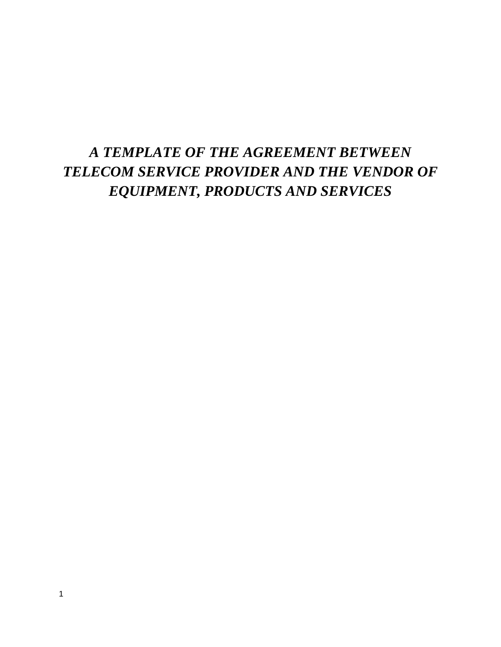# *A TEMPLATE OF THE AGREEMENT BETWEEN TELECOM SERVICE PROVIDER AND THE VENDOR OF EQUIPMENT, PRODUCTS AND SERVICES*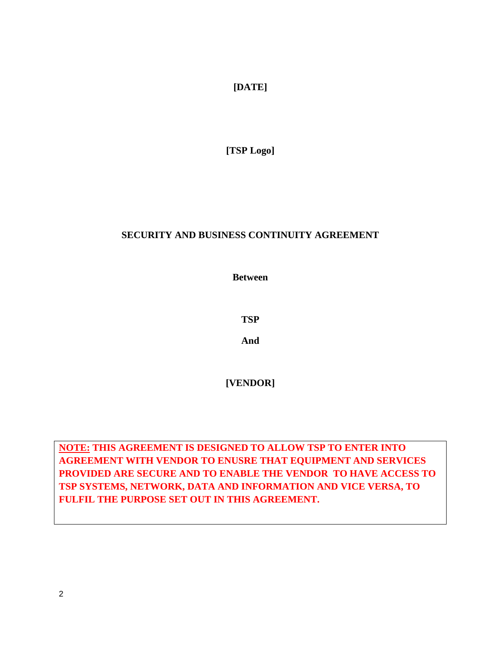**[DATE]**

**[TSP Logo]**

# **SECURITY AND BUSINESS CONTINUITY AGREEMENT**

**Between**

**TSP**

**And**

**[VENDOR]**

**NOTE: THIS AGREEMENT IS DESIGNED TO ALLOW TSP TO ENTER INTO AGREEMENT WITH VENDOR TO ENUSRE THAT EQUIPMENT AND SERVICES PROVIDED ARE SECURE AND TO ENABLE THE VENDOR TO HAVE ACCESS TO TSP SYSTEMS, NETWORK, DATA AND INFORMATION AND VICE VERSA, TO FULFIL THE PURPOSE SET OUT IN THIS AGREEMENT.**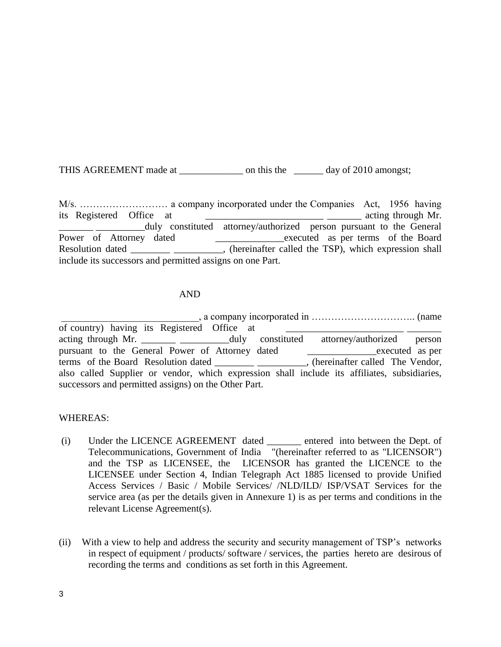THIS AGREEMENT made at \_\_\_\_\_\_\_\_\_\_\_\_\_\_\_\_\_\_\_\_\_ on this the \_\_\_\_\_\_\_\_\_\_ day of 2010 amongst;

M/s. ……………………… a company incorporated under the Companies Act, 1956 having its Registered Office at \_\_\_\_\_\_\_\_\_\_\_\_\_\_\_\_\_\_\_\_\_\_\_\_ \_\_\_\_\_\_\_ acting through Mr. duly constituted attorney/authorized person pursuant to the General Power of Attorney dated \_\_\_\_\_\_\_\_\_\_\_\_executed as per terms of the Board Resolution dated \_\_\_\_\_\_\_\_\_\_\_\_\_\_\_\_\_\_\_\_\_, (hereinafter called the TSP), which expression shall include its successors and permitted assigns on one Part.

#### AND

\_\_\_\_\_\_\_\_\_\_\_\_\_\_\_\_\_\_\_\_\_\_\_\_\_\_\_\_, a company incorporated in ………………………….. (name of country) having its Registered Office at acting through Mr. \_\_\_\_\_\_\_\_\_\_\_\_\_\_\_\_\_\_\_\_\_duly constituted attorney/authorized person pursuant to the General Power of Attorney dated \_\_\_\_\_\_\_\_\_\_\_\_\_executed as per terms of the Board Resolution dated \_\_\_\_\_\_\_\_\_\_\_\_\_\_\_\_\_\_\_\_, (hereinafter called The Vendor, also called Supplier or vendor, which expression shall include its affiliates, subsidiaries, successors and permitted assigns) on the Other Part.

#### WHEREAS:

- (i) Under the LICENCE AGREEMENT dated \_\_\_\_\_\_\_ entered into between the Dept. of Telecommunications, Government of India "(hereinafter referred to as "LICENSOR") and the TSP as LICENSEE, the LICENSOR has granted the LICENCE to the LICENSEE under Section 4, Indian Telegraph Act 1885 licensed to provide Unified Access Services / Basic / Mobile Services/ /NLD/ILD/ ISP/VSAT Services for the service area (as per the details given in Annexure 1) is as per terms and conditions in the relevant License Agreement(s).
- (ii) With a view to help and address the security and security management of TSP's networks in respect of equipment / products/ software / services, the parties hereto are desirous of recording the terms and conditions as set forth in this Agreement.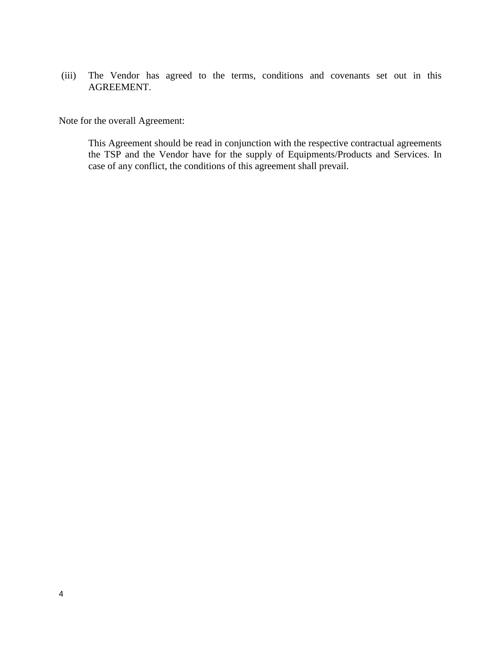(iii) The Vendor has agreed to the terms, conditions and covenants set out in this AGREEMENT.

Note for the overall Agreement:

This Agreement should be read in conjunction with the respective contractual agreements the TSP and the Vendor have for the supply of Equipments/Products and Services. In case of any conflict, the conditions of this agreement shall prevail.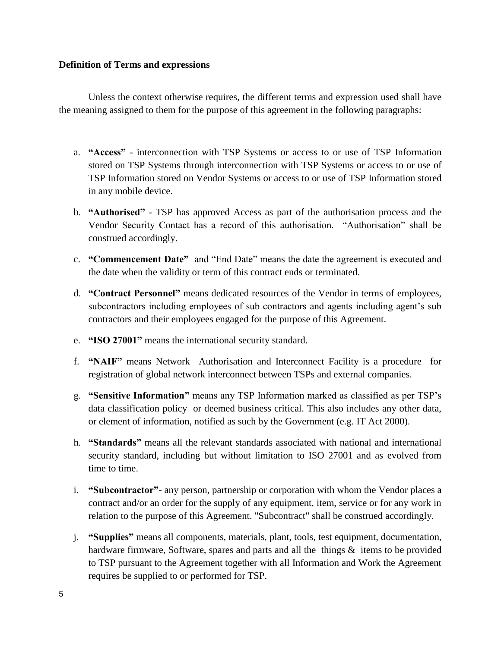#### **Definition of Terms and expressions**

 Unless the context otherwise requires, the different terms and expression used shall have the meaning assigned to them for the purpose of this agreement in the following paragraphs:

- a. **"Access"** interconnection with TSP Systems or access to or use of TSP Information stored on TSP Systems through interconnection with TSP Systems or access to or use of TSP Information stored on Vendor Systems or access to or use of TSP Information stored in any mobile device.
- b. **"Authorised"** TSP has approved Access as part of the authorisation process and the Vendor Security Contact has a record of this authorisation. "Authorisation" shall be construed accordingly.
- c. **"Commencement Date"** and "End Date" means the date the agreement is executed and the date when the validity or term of this contract ends or terminated.
- d. **"Contract Personnel"** means dedicated resources of the Vendor in terms of employees, subcontractors including employees of sub contractors and agents including agent's sub contractors and their employees engaged for the purpose of this Agreement.
- e. **"ISO 27001"** means the international security standard.
- f. **"NAIF"** means Network Authorisation and Interconnect Facility is a procedure for registration of global network interconnect between TSPs and external companies.
- g. **"Sensitive Information"** means any TSP Information marked as classified as per TSP's data classification policy or deemed business critical. This also includes any other data, or element of information, notified as such by the Government (e.g. IT Act 2000).
- h. **"Standards"** means all the relevant standards associated with national and international security standard, including but without limitation to ISO 27001 and as evolved from time to time.
- i. **"Subcontractor"** any person, partnership or corporation with whom the Vendor places a contract and/or an order for the supply of any equipment, item, service or for any work in relation to the purpose of this Agreement. "Subcontract" shall be construed accordingly.
- j. **"Supplies"** means all components, materials, plant, tools, test equipment, documentation, hardware firmware, Software, spares and parts and all the things & items to be provided to TSP pursuant to the Agreement together with all Information and Work the Agreement requires be supplied to or performed for TSP.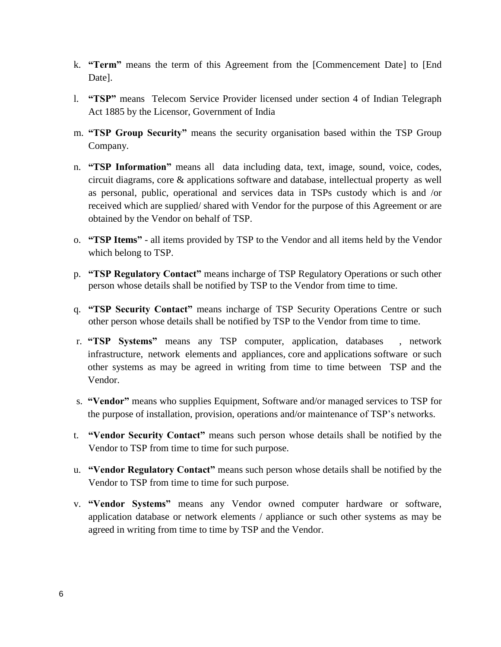- k. **"Term"** means the term of this Agreement from the [Commencement Date] to [End Date].
- l. **"TSP"** means Telecom Service Provider licensed under section 4 of Indian Telegraph Act 1885 by the Licensor, Government of India
- m. **"TSP Group Security"** means the security organisation based within the TSP Group Company.
- n. **"TSP Information"** means all data including data, text, image, sound, voice, codes, circuit diagrams, core & applications software and database, intellectual property as well as personal, public, operational and services data in TSPs custody which is and /or received which are supplied/ shared with Vendor for the purpose of this Agreement or are obtained by the Vendor on behalf of TSP.
- o. **"TSP Items"** all items provided by TSP to the Vendor and all items held by the Vendor which belong to TSP.
- p. **"TSP Regulatory Contact"** means incharge of TSP Regulatory Operations or such other person whose details shall be notified by TSP to the Vendor from time to time.
- q. **"TSP Security Contact"** means incharge of TSP Security Operations Centre or such other person whose details shall be notified by TSP to the Vendor from time to time.
- r. **"TSP Systems"** means any TSP computer, application, databases , network infrastructure, network elements and appliances, core and applications software or such other systems as may be agreed in writing from time to time between TSP and the Vendor.
- s. **"Vendor"** means who supplies Equipment, Software and/or managed services to TSP for the purpose of installation, provision, operations and/or maintenance of TSP's networks.
- t. **"Vendor Security Contact"** means such person whose details shall be notified by the Vendor to TSP from time to time for such purpose.
- u. **"Vendor Regulatory Contact"** means such person whose details shall be notified by the Vendor to TSP from time to time for such purpose.
- v. **"Vendor Systems"** means any Vendor owned computer hardware or software, application database or network elements / appliance or such other systems as may be agreed in writing from time to time by TSP and the Vendor.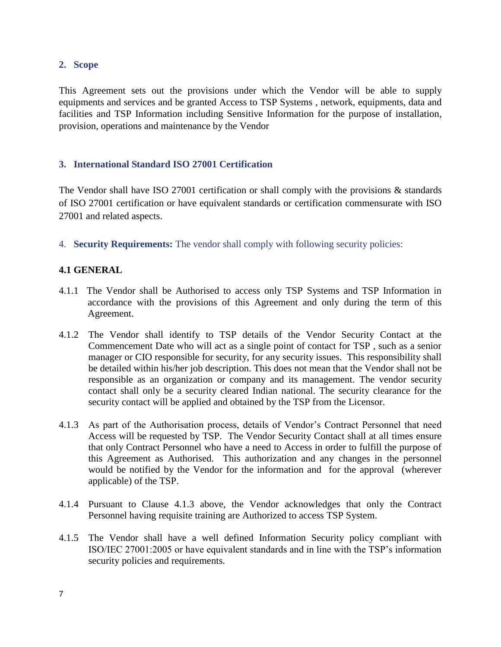## **2. Scope**

This Agreement sets out the provisions under which the Vendor will be able to supply equipments and services and be granted Access to TSP Systems , network, equipments, data and facilities and TSP Information including Sensitive Information for the purpose of installation, provision, operations and maintenance by the Vendor

## **3. International Standard ISO 27001 Certification**

The Vendor shall have ISO 27001 certification or shall comply with the provisions & standards of ISO 27001 certification or have equivalent standards or certification commensurate with ISO 27001 and related aspects.

4. **Security Requirements:** The vendor shall comply with following security policies:

# **4.1 GENERAL**

- 4.1.1 The Vendor shall be Authorised to access only TSP Systems and TSP Information in accordance with the provisions of this Agreement and only during the term of this Agreement.
- 4.1.2 The Vendor shall identify to TSP details of the Vendor Security Contact at the Commencement Date who will act as a single point of contact for TSP , such as a senior manager or CIO responsible for security, for any security issues. This responsibility shall be detailed within his/her job description. This does not mean that the Vendor shall not be responsible as an organization or company and its management. The vendor security contact shall only be a security cleared Indian national. The security clearance for the security contact will be applied and obtained by the TSP from the Licensor.
- 4.1.3 As part of the Authorisation process, details of Vendor's Contract Personnel that need Access will be requested by TSP. The Vendor Security Contact shall at all times ensure that only Contract Personnel who have a need to Access in order to fulfill the purpose of this Agreement as Authorised. This authorization and any changes in the personnel would be notified by the Vendor for the information and for the approval (wherever applicable) of the TSP.
- 4.1.4 Pursuant to Clause 4.1.3 above, the Vendor acknowledges that only the Contract Personnel having requisite training are Authorized to access TSP System.
- 4.1.5 The Vendor shall have a well defined Information Security policy compliant with ISO/IEC 27001:2005 or have equivalent standards and in line with the TSP's information security policies and requirements.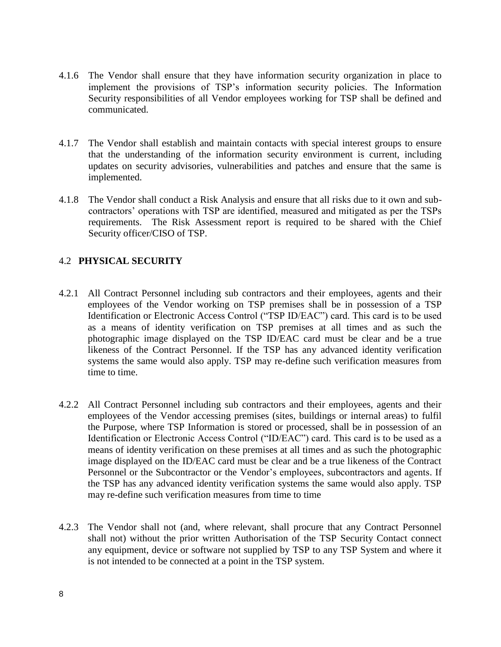- 4.1.6 The Vendor shall ensure that they have information security organization in place to implement the provisions of TSP's information security policies. The Information Security responsibilities of all Vendor employees working for TSP shall be defined and communicated.
- 4.1.7 The Vendor shall establish and maintain contacts with special interest groups to ensure that the understanding of the information security environment is current, including updates on security advisories, vulnerabilities and patches and ensure that the same is implemented.
- 4.1.8 The Vendor shall conduct a Risk Analysis and ensure that all risks due to it own and subcontractors' operations with TSP are identified, measured and mitigated as per the TSPs requirements. The Risk Assessment report is required to be shared with the Chief Security officer/CISO of TSP.

# 4.2 **PHYSICAL SECURITY**

- 4.2.1 All Contract Personnel including sub contractors and their employees, agents and their employees of the Vendor working on TSP premises shall be in possession of a TSP Identification or Electronic Access Control ("TSP ID/EAC") card. This card is to be used as a means of identity verification on TSP premises at all times and as such the photographic image displayed on the TSP ID/EAC card must be clear and be a true likeness of the Contract Personnel. If the TSP has any advanced identity verification systems the same would also apply. TSP may re-define such verification measures from time to time.
- 4.2.2 All Contract Personnel including sub contractors and their employees, agents and their employees of the Vendor accessing premises (sites, buildings or internal areas) to fulfil the Purpose, where TSP Information is stored or processed, shall be in possession of an Identification or Electronic Access Control ("ID/EAC") card. This card is to be used as a means of identity verification on these premises at all times and as such the photographic image displayed on the ID/EAC card must be clear and be a true likeness of the Contract Personnel or the Subcontractor or the Vendor's employees, subcontractors and agents. If the TSP has any advanced identity verification systems the same would also apply. TSP may re-define such verification measures from time to time
- 4.2.3 The Vendor shall not (and, where relevant, shall procure that any Contract Personnel shall not) without the prior written Authorisation of the TSP Security Contact connect any equipment, device or software not supplied by TSP to any TSP System and where it is not intended to be connected at a point in the TSP system.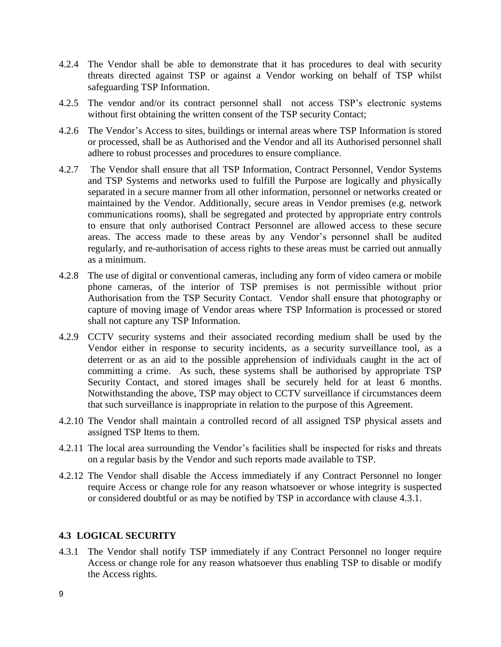- 4.2.4 The Vendor shall be able to demonstrate that it has procedures to deal with security threats directed against TSP or against a Vendor working on behalf of TSP whilst safeguarding TSP Information.
- 4.2.5 The vendor and/or its contract personnel shall not access TSP's electronic systems without first obtaining the written consent of the TSP security Contact;
- 4.2.6 The Vendor's Access to sites, buildings or internal areas where TSP Information is stored or processed, shall be as Authorised and the Vendor and all its Authorised personnel shall adhere to robust processes and procedures to ensure compliance.
- 4.2.7 The Vendor shall ensure that all TSP Information, Contract Personnel, Vendor Systems and TSP Systems and networks used to fulfill the Purpose are logically and physically separated in a secure manner from all other information, personnel or networks created or maintained by the Vendor. Additionally, secure areas in Vendor premises (e.g. network communications rooms), shall be segregated and protected by appropriate entry controls to ensure that only authorised Contract Personnel are allowed access to these secure areas. The access made to these areas by any Vendor's personnel shall be audited regularly, and re-authorisation of access rights to these areas must be carried out annually as a minimum.
- 4.2.8 The use of digital or conventional cameras, including any form of video camera or mobile phone cameras, of the interior of TSP premises is not permissible without prior Authorisation from the TSP Security Contact. Vendor shall ensure that photography or capture of moving image of Vendor areas where TSP Information is processed or stored shall not capture any TSP Information.
- 4.2.9 CCTV security systems and their associated recording medium shall be used by the Vendor either in response to security incidents, as a security surveillance tool, as a deterrent or as an aid to the possible apprehension of individuals caught in the act of committing a crime. As such, these systems shall be authorised by appropriate TSP Security Contact, and stored images shall be securely held for at least 6 months. Notwithstanding the above, TSP may object to CCTV surveillance if circumstances deem that such surveillance is inappropriate in relation to the purpose of this Agreement.
- 4.2.10 The Vendor shall maintain a controlled record of all assigned TSP physical assets and assigned TSP Items to them*.*
- 4.2.11 The local area surrounding the Vendor's facilities shall be inspected for risks and threats on a regular basis by the Vendor and such reports made available to TSP.
- 4.2.12 The Vendor shall disable the Access immediately if any Contract Personnel no longer require Access or change role for any reason whatsoever or whose integrity is suspected or considered doubtful or as may be notified by TSP in accordance with clause 4.3.1.

## **4.3 LOGICAL SECURITY**

4.3.1 The Vendor shall notify TSP immediately if any Contract Personnel no longer require Access or change role for any reason whatsoever thus enabling TSP to disable or modify the Access rights.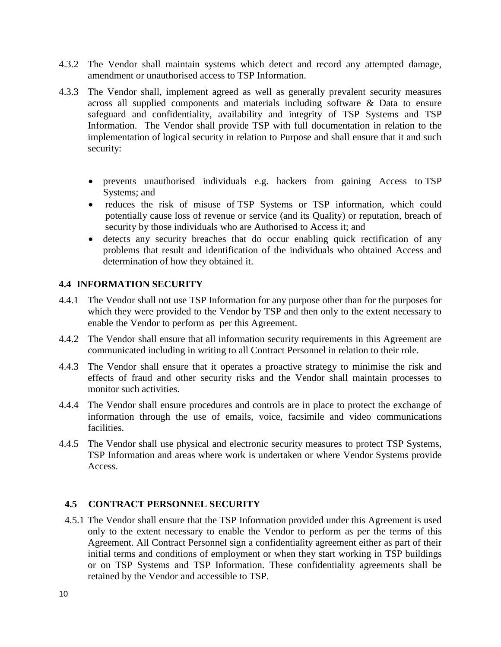- 4.3.2 The Vendor shall maintain systems which detect and record any attempted damage, amendment or unauthorised access to TSP Information.
- 4.3.3 The Vendor shall, implement agreed as well as generally prevalent security measures across all supplied components and materials including software & Data to ensure safeguard and confidentiality, availability and integrity of TSP Systems and TSP Information. The Vendor shall provide TSP with full documentation in relation to the implementation of logical security in relation to Purpose and shall ensure that it and such security:
	- prevents unauthorised individuals e.g. hackers from gaining Access to TSP Systems; and
	- reduces the risk of misuse of TSP Systems or TSP information, which could potentially cause loss of revenue or service (and its Quality) or reputation, breach of security by those individuals who are Authorised to Access it; and
	- detects any security breaches that do occur enabling quick rectification of any problems that result and identification of the individuals who obtained Access and determination of how they obtained it.

## **4.4 INFORMATION SECURITY**

- 4.4.1 The Vendor shall not use TSP Information for any purpose other than for the purposes for which they were provided to the Vendor by TSP and then only to the extent necessary to enable the Vendor to perform as per this Agreement.
- 4.4.2 The Vendor shall ensure that all information security requirements in this Agreement are communicated including in writing to all Contract Personnel in relation to their role.
- 4.4.3 The Vendor shall ensure that it operates a proactive strategy to minimise the risk and effects of fraud and other security risks and the Vendor shall maintain processes to monitor such activities.
- 4.4.4 The Vendor shall ensure procedures and controls are in place to protect the exchange of information through the use of emails, voice, facsimile and video communications facilities.
- 4.4.5 The Vendor shall use physical and electronic security measures to protect TSP Systems, TSP Information and areas where work is undertaken or where Vendor Systems provide Access.

#### **4.5 CONTRACT PERSONNEL SECURITY**

4.5.1 The Vendor shall ensure that the TSP Information provided under this Agreement is used only to the extent necessary to enable the Vendor to perform as per the terms of this Agreement. All Contract Personnel sign a confidentiality agreement either as part of their initial terms and conditions of employment or when they start working in TSP buildings or on TSP Systems and TSP Information. These confidentiality agreements shall be retained by the Vendor and accessible to TSP.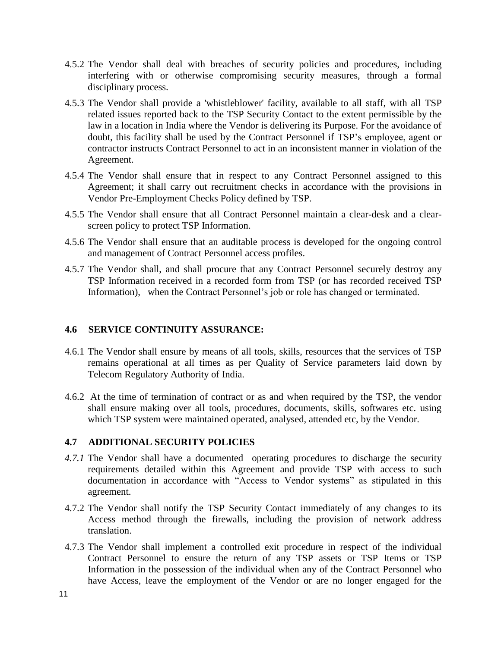- 4.5.2 The Vendor shall deal with breaches of security policies and procedures, including interfering with or otherwise compromising security measures, through a formal disciplinary process.
- 4.5.3 The Vendor shall provide a 'whistleblower' facility, available to all staff, with all TSP related issues reported back to the TSP Security Contact to the extent permissible by the law in a location in India where the Vendor is delivering its Purpose. For the avoidance of doubt, this facility shall be used by the Contract Personnel if TSP's employee, agent or contractor instructs Contract Personnel to act in an inconsistent manner in violation of the Agreement.
- 4.5.4 The Vendor shall ensure that in respect to any Contract Personnel assigned to this Agreement; it shall carry out recruitment checks in accordance with the provisions in Vendor Pre-Employment Checks Policy defined by TSP.
- 4.5.5 The Vendor shall ensure that all Contract Personnel maintain a clear-desk and a clearscreen policy to protect TSP Information.
- 4.5.6 The Vendor shall ensure that an auditable process is developed for the ongoing control and management of Contract Personnel access profiles.
- 4.5.7 The Vendor shall, and shall procure that any Contract Personnel securely destroy any TSP Information received in a recorded form from TSP (or has recorded received TSP Information), when the Contract Personnel's job or role has changed or terminated.

## **4.6 SERVICE CONTINUITY ASSURANCE:**

- 4.6.1 The Vendor shall ensure by means of all tools, skills, resources that the services of TSP remains operational at all times as per Quality of Service parameters laid down by Telecom Regulatory Authority of India.
- 4.6.2 At the time of termination of contract or as and when required by the TSP, the vendor shall ensure making over all tools, procedures, documents, skills, softwares etc. using which TSP system were maintained operated, analysed, attended etc, by the Vendor.

#### **4.7 ADDITIONAL SECURITY POLICIES**

- *4.7.1* The Vendor shall have a documented operating procedures to discharge the security requirements detailed within this Agreement and provide TSP with access to such documentation in accordance with "Access to Vendor systems" as stipulated in this agreement.
- 4.7.2 The Vendor shall notify the TSP Security Contact immediately of any changes to its Access method through the firewalls, including the provision of network address translation.
- 4.7.3 The Vendor shall implement a controlled exit procedure in respect of the individual Contract Personnel to ensure the return of any TSP assets or TSP Items or TSP Information in the possession of the individual when any of the Contract Personnel who have Access, leave the employment of the Vendor or are no longer engaged for the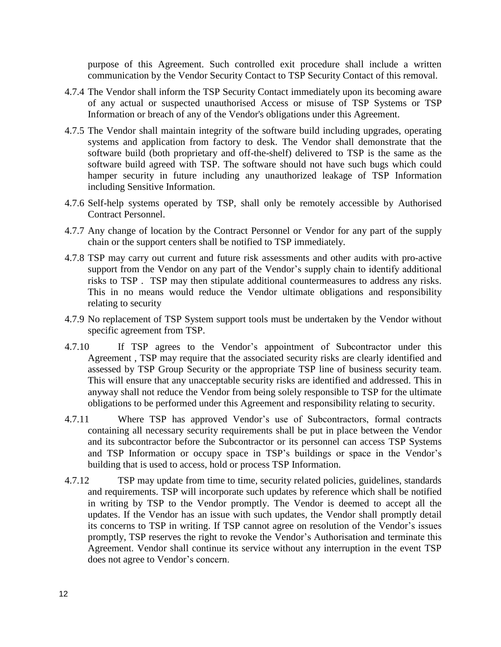purpose of this Agreement. Such controlled exit procedure shall include a written communication by the Vendor Security Contact to TSP Security Contact of this removal.

- 4.7.4 The Vendor shall inform the TSP Security Contact immediately upon its becoming aware of any actual or suspected unauthorised Access or misuse of TSP Systems or TSP Information or breach of any of the Vendor's obligations under this Agreement.
- 4.7.5 The Vendor shall maintain integrity of the software build including upgrades, operating systems and application from factory to desk. The Vendor shall demonstrate that the software build (both proprietary and off-the-shelf) delivered to TSP is the same as the software build agreed with TSP. The software should not have such bugs which could hamper security in future including any unauthorized leakage of TSP Information including Sensitive Information.
- 4.7.6 Self-help systems operated by TSP, shall only be remotely accessible by Authorised Contract Personnel.
- 4.7.7 Any change of location by the Contract Personnel or Vendor for any part of the supply chain or the support centers shall be notified to TSP immediately.
- 4.7.8 TSP may carry out current and future risk assessments and other audits with pro-active support from the Vendor on any part of the Vendor's supply chain to identify additional risks to TSP . TSP may then stipulate additional countermeasures to address any risks. This in no means would reduce the Vendor ultimate obligations and responsibility relating to security
- 4.7.9 No replacement of TSP System support tools must be undertaken by the Vendor without specific agreement from TSP.
- 4.7.10 If TSP agrees to the Vendor's appointment of Subcontractor under this Agreement , TSP may require that the associated security risks are clearly identified and assessed by TSP Group Security or the appropriate TSP line of business security team. This will ensure that any unacceptable security risks are identified and addressed. This in anyway shall not reduce the Vendor from being solely responsible to TSP for the ultimate obligations to be performed under this Agreement and responsibility relating to security.
- 4.7.11 Where TSP has approved Vendor's use of Subcontractors, formal contracts containing all necessary security requirements shall be put in place between the Vendor and its subcontractor before the Subcontractor or its personnel can access TSP Systems and TSP Information or occupy space in TSP's buildings or space in the Vendor's building that is used to access, hold or process TSP Information.
- 4.7.12 TSP may update from time to time, security related policies, guidelines, standards and requirements. TSP will incorporate such updates by reference which shall be notified in writing by TSP to the Vendor promptly. The Vendor is deemed to accept all the updates. If the Vendor has an issue with such updates, the Vendor shall promptly detail its concerns to TSP in writing. If TSP cannot agree on resolution of the Vendor's issues promptly, TSP reserves the right to revoke the Vendor's Authorisation and terminate this Agreement. Vendor shall continue its service without any interruption in the event TSP does not agree to Vendor's concern.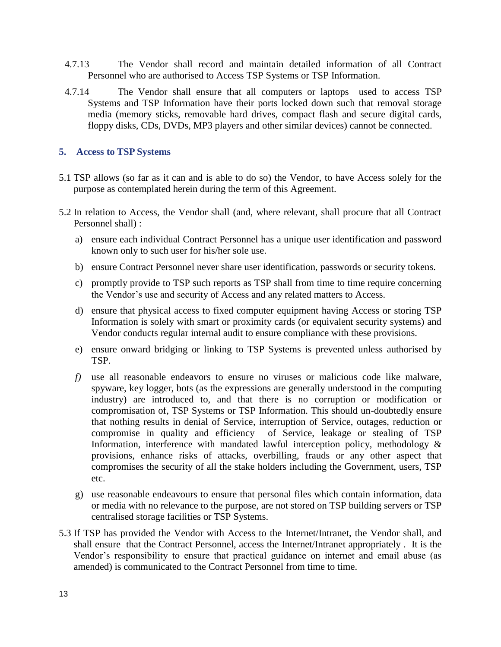- 4.7.13 The Vendor shall record and maintain detailed information of all Contract Personnel who are authorised to Access TSP Systems or TSP Information.
- 4.7.14 The Vendor shall ensure that all computers or laptops used to access TSP Systems and TSP Information have their ports locked down such that removal storage media (memory sticks, removable hard drives, compact flash and secure digital cards, floppy disks, CDs, DVDs, MP3 players and other similar devices) cannot be connected.

#### **5. Access to TSP Systems**

- 5.1 TSP allows (so far as it can and is able to do so) the Vendor, to have Access solely for the purpose as contemplated herein during the term of this Agreement.
- 5.2 In relation to Access, the Vendor shall (and, where relevant, shall procure that all Contract Personnel shall) :
	- a) ensure each individual Contract Personnel has a unique user identification and password known only to such user for his/her sole use.
	- b) ensure Contract Personnel never share user identification, passwords or security tokens.
	- c) promptly provide to TSP such reports as TSP shall from time to time require concerning the Vendor's use and security of Access and any related matters to Access.
	- d) ensure that physical access to fixed computer equipment having Access or storing TSP Information is solely with smart or proximity cards (or equivalent security systems) and Vendor conducts regular internal audit to ensure compliance with these provisions.
	- e) ensure onward bridging or linking to TSP Systems is prevented unless authorised by TSP.
	- *f)* use all reasonable endeavors to ensure no viruses or malicious code like malware, spyware, key logger, bots (as the expressions are generally understood in the computing industry) are introduced to, and that there is no corruption or modification or compromisation of, TSP Systems or TSP Information. This should un-doubtedly ensure that nothing results in denial of Service, interruption of Service, outages, reduction or compromise in quality and efficiency of Service, leakage or stealing of TSP Information, interference with mandated lawful interception policy, methodology  $\&$ provisions, enhance risks of attacks, overbilling, frauds or any other aspect that compromises the security of all the stake holders including the Government, users, TSP etc.
	- g) use reasonable endeavours to ensure that personal files which contain information, data or media with no relevance to the purpose, are not stored on TSP building servers or TSP centralised storage facilities or TSP Systems.
- 5.3 If TSP has provided the Vendor with Access to the Internet/Intranet, the Vendor shall, and shall ensure that the Contract Personnel, access the Internet/Intranet appropriately . It is the Vendor's responsibility to ensure that practical guidance on internet and email abuse (as amended) is communicated to the Contract Personnel from time to time.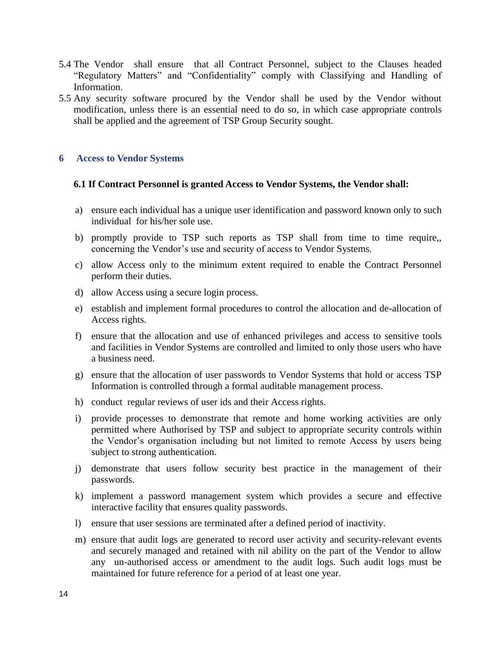- 5.4 The Vendor shall ensure that all Contract Personnel, subject to the Clauses headed "Regulatory Matters" and "Confidentiality" comply with Classifying and Handling of Information.
- 5.5 Any security software procured by the Vendor shall be used by the Vendor without modification, unless there is an essential need to do so, in which case appropriate controls shall be applied and the agreement of TSP Group Security sought.

#### **6 Access to Vendor Systems**

#### **6.1 If Contract Personnel is granted Access to Vendor Systems, the Vendor shall:**

- a) ensure each individual has a unique user identification and password known only to such individual for his/her sole use.
- b) promptly provide to TSP such reports as TSP shall from time to time require,, concerning the Vendor's use and security of access to Vendor Systems.
- c) allow Access only to the minimum extent required to enable the Contract Personnel perform their duties.
- d) allow Access using a secure login process.
- e) establish and implement formal procedures to control the allocation and de-allocation of Access rights.
- f) ensure that the allocation and use of enhanced privileges and access to sensitive tools and facilities in Vendor Systems are controlled and limited to only those users who have a business need.
- g) ensure that the allocation of user passwords to Vendor Systems that hold or access TSP Information is controlled through a formal auditable management process.
- h) conduct regular reviews of user ids and their Access rights.
- i) provide processes to demonstrate that remote and home working activities are only permitted where Authorised by TSP and subject to appropriate security controls within the Vendor's organisation including but not limited to remote Access by users being subject to strong authentication.
- j) demonstrate that users follow security best practice in the management of their passwords.
- k) implement a password management system which provides a secure and effective interactive facility that ensures quality passwords.
- l) ensure that user sessions are terminated after a defined period of inactivity.
- m) ensure that audit logs are generated to record user activity and security-relevant events and securely managed and retained with nil ability on the part of the Vendor to allow any un-authorised access or amendment to the audit logs. Such audit logs must be maintained for future reference for a period of at least one year.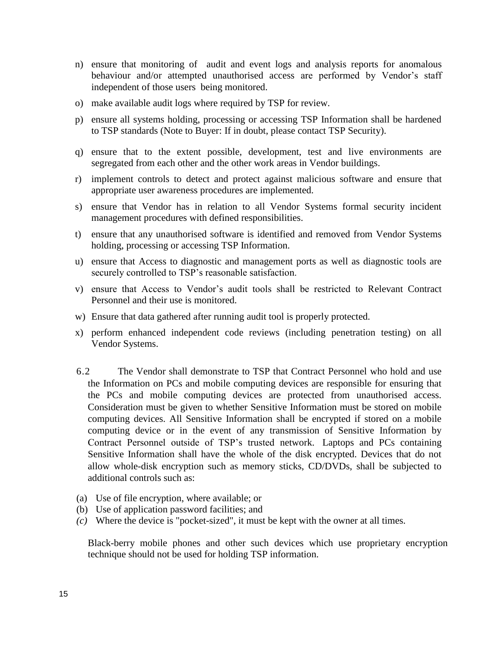- n) ensure that monitoring of audit and event logs and analysis reports for anomalous behaviour and/or attempted unauthorised access are performed by Vendor's staff independent of those users being monitored.
- o) make available audit logs where required by TSP for review.
- p) ensure all systems holding, processing or accessing TSP Information shall be hardened to TSP standards (Note to Buyer: If in doubt, please contact [TSP Security\)](http://directory.intra.bt.com/pls/ids/person?id=105462).
- q) ensure that to the extent possible, development, test and live environments are segregated from each other and the other work areas in Vendor buildings.
- r) implement controls to detect and protect against malicious software and ensure that appropriate user awareness procedures are implemented.
- s) ensure that Vendor has in relation to all Vendor Systems formal security incident management procedures with defined responsibilities.
- t) ensure that any unauthorised software is identified and removed from Vendor Systems holding, processing or accessing TSP Information.
- u) ensure that Access to diagnostic and management ports as well as diagnostic tools are securely controlled to TSP's reasonable satisfaction.
- v) ensure that Access to Vendor's audit tools shall be restricted to Relevant Contract Personnel and their use is monitored.
- w) Ensure that data gathered after running audit tool is properly protected.
- x) perform enhanced independent code reviews (including penetration testing) on all Vendor Systems.
- 6.2 The Vendor shall demonstrate to TSP that Contract Personnel who hold and use the Information on PCs and mobile computing devices are responsible for ensuring that the PCs and mobile computing devices are protected from unauthorised access. Consideration must be given to whether Sensitive Information must be stored on mobile computing devices. All Sensitive Information shall be encrypted if stored on a mobile computing device or in the event of any transmission of Sensitive Information by Contract Personnel outside of TSP's trusted network. Laptops and PCs containing Sensitive Information shall have the whole of the disk encrypted. Devices that do not allow whole-disk encryption such as memory sticks, CD/DVDs, shall be subjected to additional controls such as:
- (a) Use of file encryption, where available; or
- (b) Use of application password facilities; and
- *(c)* Where the device is "pocket-sized", it must be kept with the owner at all times*.*

Black-berry mobile phones and other such devices which use proprietary encryption technique should not be used for holding TSP information.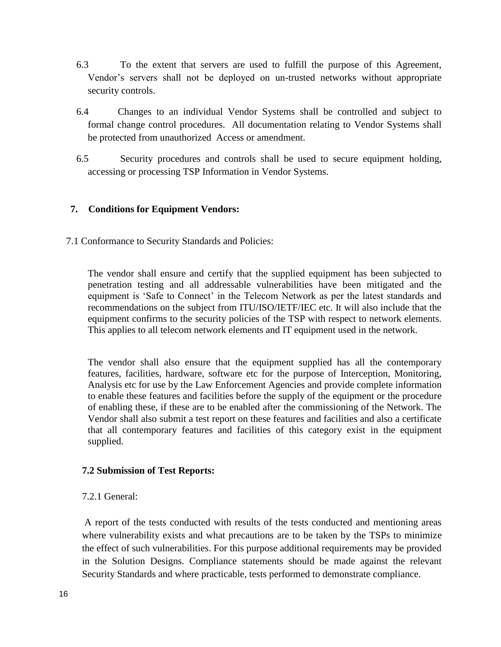- 6.3 To the extent that servers are used to fulfill the purpose of this Agreement, Vendor's servers shall not be deployed on un-trusted networks without appropriate security controls.
- 6.4 Changes to an individual Vendor Systems shall be controlled and subject to formal change control procedures. All documentation relating to Vendor Systems shall be protected from unauthorized Access or amendment.
- 6.5 Security procedures and controls shall be used to secure equipment holding, accessing or processing TSP Information in Vendor Systems.

## **7. Conditions for Equipment Vendors:**

7.1 Conformance to Security Standards and Policies:

The vendor shall ensure and certify that the supplied equipment has been subjected to penetration testing and all addressable vulnerabilities have been mitigated and the equipment is 'Safe to Connect' in the Telecom Network as per the latest standards and recommendations on the subject from ITU/ISO/IETF/IEC etc. It will also include that the equipment confirms to the security policies of the TSP with respect to network elements. This applies to all telecom network elements and IT equipment used in the network.

The vendor shall also ensure that the equipment supplied has all the contemporary features, facilities, hardware, software etc for the purpose of Interception, Monitoring, Analysis etc for use by the Law Enforcement Agencies and provide complete information to enable these features and facilities before the supply of the equipment or the procedure of enabling these, if these are to be enabled after the commissioning of the Network. The Vendor shall also submit a test report on these features and facilities and also a certificate that all contemporary features and facilities of this category exist in the equipment supplied.

#### **7.2 Submission of Test Reports:**

#### 7.2.1 General:

A report of the tests conducted with results of the tests conducted and mentioning areas where vulnerability exists and what precautions are to be taken by the TSPs to minimize the effect of such vulnerabilities. For this purpose additional requirements may be provided in the Solution Designs. Compliance statements should be made against the relevant Security Standards and where practicable, tests performed to demonstrate compliance.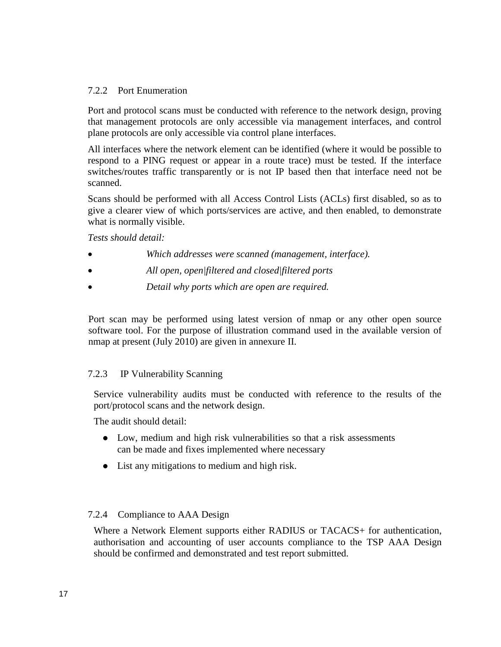#### 7.2.2 Port Enumeration

Port and protocol scans must be conducted with reference to the network design, proving that management protocols are only accessible via management interfaces, and control plane protocols are only accessible via control plane interfaces.

All interfaces where the network element can be identified (where it would be possible to respond to a PING request or appear in a route trace) must be tested. If the interface switches/routes traffic transparently or is not IP based then that interface need not be scanned.

Scans should be performed with all Access Control Lists (ACLs) first disabled, so as to give a clearer view of which ports/services are active, and then enabled, to demonstrate what is normally visible.

*Tests should detail:*

- *Which addresses were scanned (management, interface).*
- *All open, open|filtered and closed|filtered ports*
- *Detail why ports which are open are required.*

Port scan may be performed using latest version of nmap or any other open source software tool. For the purpose of illustration command used in the available version of nmap at present (July 2010) are given in annexure II.

#### 7.2.3 IP Vulnerability Scanning

Service vulnerability audits must be conducted with reference to the results of the port/protocol scans and the network design.

The audit should detail:

- Low, medium and high risk vulnerabilities so that a risk assessments can be made and fixes implemented where necessary
- List any mitigations to medium and high risk.

## 7.2.4 Compliance to AAA Design

Where a Network Element supports either RADIUS or TACACS+ for authentication, authorisation and accounting of user accounts compliance to the TSP AAA Design should be confirmed and demonstrated and test report submitted.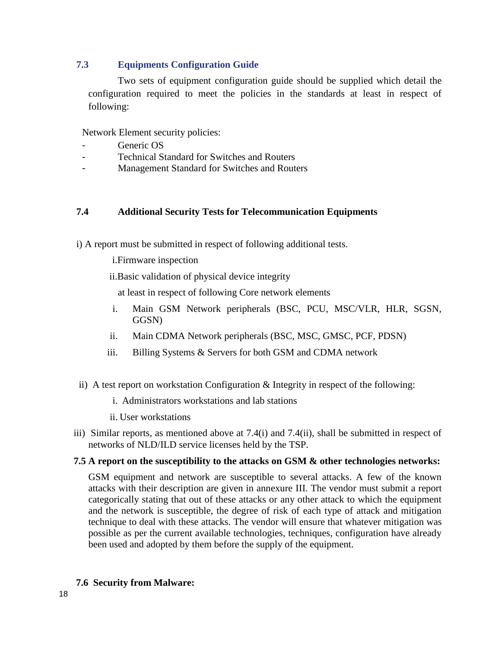## **7.3 Equipments Configuration Guide**

Two sets of equipment configuration guide should be supplied which detail the configuration required to meet the policies in the standards at least in respect of following:

Network Element security policies:

- Generic OS
- Technical Standard for Switches and Routers
- Management Standard for Switches and Routers

#### **7.4 Additional Security Tests for Telecommunication Equipments**

i) A report must be submitted in respect of following additional tests.

i.Firmware inspection

ii.Basic validation of physical device integrity

at least in respect of following Core network elements

- i. Main GSM Network peripherals (BSC, PCU, MSC/VLR, HLR, SGSN, GGSN)
- ii. Main CDMA Network peripherals (BSC, MSC, GMSC, PCF, PDSN)
- iii. Billing Systems & Servers for both GSM and CDMA network
- ii) A test report on workstation Configuration & Integrity in respect of the following:
	- i. Administrators workstations and lab stations
	- ii. User workstations
- iii) Similar reports, as mentioned above at 7.4(i) and 7.4(ii), shall be submitted in respect of networks of NLD/ILD service licenses held by the TSP.

#### **7.5 A report on the susceptibility to the attacks on GSM & other technologies networks:**

GSM equipment and network are susceptible to several attacks. A few of the known attacks with their description are given in annexure III. The vendor must submit a report categorically stating that out of these attacks or any other attack to which the equipment and the network is susceptible, the degree of risk of each type of attack and mitigation technique to deal with these attacks. The vendor will ensure that whatever mitigation was possible as per the current available technologies, techniques, configuration have already been used and adopted by them before the supply of the equipment.

## **7.6 Security from Malware:**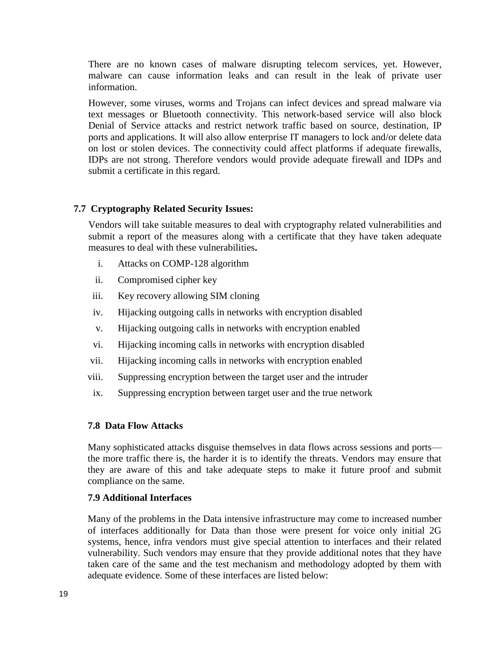There are no known cases of malware disrupting telecom services, yet. However, malware can cause information leaks and can result in the leak of private user information.

However, some viruses, worms and Trojans can infect devices and spread malware via text messages or Bluetooth connectivity. This network-based service will also block Denial of Service attacks and restrict network traffic based on source, destination, IP ports and applications. It will also allow enterprise IT managers to lock and/or delete data on lost or stolen devices. The connectivity could affect platforms if adequate firewalls, IDPs are not strong. Therefore vendors would provide adequate firewall and IDPs and submit a certificate in this regard.

## **7.7 Cryptography Related Security Issues:**

Vendors will take suitable measures to deal with cryptography related vulnerabilities and submit a report of the measures along with a certificate that they have taken adequate measures to deal with these vulnerabilities**.** 

- i. Attacks on COMP-128 algorithm
- ii. Compromised cipher key
- iii. Key recovery allowing SIM cloning
- iv. Hijacking outgoing calls in networks with encryption disabled
- v. Hijacking outgoing calls in networks with encryption enabled
- vi. Hijacking incoming calls in networks with encryption disabled
- vii. Hijacking incoming calls in networks with encryption enabled
- viii. Suppressing encryption between the target user and the intruder
- ix. Suppressing encryption between target user and the true network

#### **7.8****Data Flow Attacks**

Many sophisticated attacks disguise themselves in data flows across sessions and ports the more traffic there is, the harder it is to identify the threats. Vendors may ensure that they are aware of this and take adequate steps to make it future proof and submit compliance on the same.

#### **7.9 Additional Interfaces**

Many of the problems in the Data intensive infrastructure may come to increased number of interfaces additionally for Data than those were present for voice only initial 2G systems, hence, infra vendors must give special attention to interfaces and their related vulnerability. Such vendors may ensure that they provide additional notes that they have taken care of the same and the test mechanism and methodology adopted by them with adequate evidence. Some of these interfaces are listed below: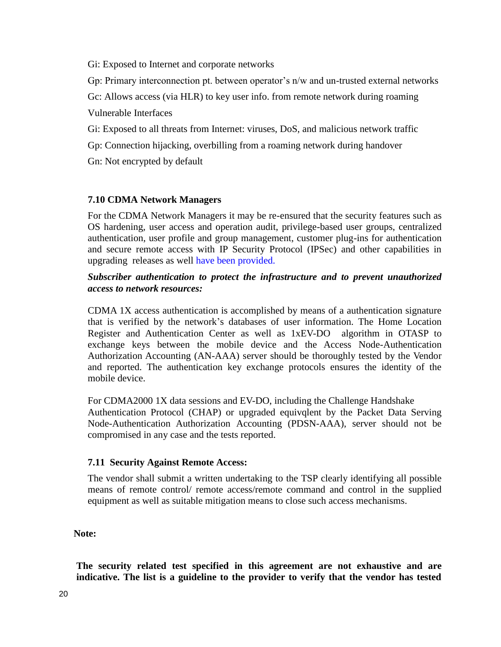Gi: Exposed to Internet and corporate networks

Gp: Primary interconnection pt. between operator's n/w and un-trusted external networks

Gc: Allows access (via HLR) to key user info. from remote network during roaming

Vulnerable Interfaces

Gi: Exposed to all threats from Internet: viruses, DoS, and malicious network traffic

Gp: Connection hijacking, overbilling from a roaming network during handover

Gn: Not encrypted by default

# **7.10 CDMA Network Managers**

For the CDMA Network Managers it may be re-ensured that the security features such as OS hardening, user access and operation audit, privilege-based user groups, centralized authentication, user profile and group management, customer plug-ins for authentication and secure remote access with IP Security Protocol (IPSec) and other capabilities in upgrading releases as well have been provided.

## *Subscriber authentication to protect the infrastructure and to prevent unauthorized access to network resources:*

CDMA 1X access authentication is accomplished by means of a authentication signature that is verified by the network's databases of user information. The Home Location Register and Authentication Center as well as 1xEV-DO algorithm in OTASP to exchange keys between the mobile device and the Access Node-Authentication Authorization Accounting (AN-AAA) server should be thoroughly tested by the Vendor and reported. The authentication key exchange protocols ensures the identity of the mobile device.

For CDMA2000 1X data sessions and EV-DO, including the Challenge Handshake Authentication Protocol (CHAP) or upgraded equivqlent by the Packet Data Serving Node-Authentication Authorization Accounting (PDSN-AAA), server should not be compromised in any case and the tests reported.

## **7.11 Security Against Remote Access:**

The vendor shall submit a written undertaking to the TSP clearly identifying all possible means of remote control/ remote access/remote command and control in the supplied equipment as well as suitable mitigation means to close such access mechanisms.

## **Note:**

**The security related test specified in this agreement are not exhaustive and are indicative. The list is a guideline to the provider to verify that the vendor has tested**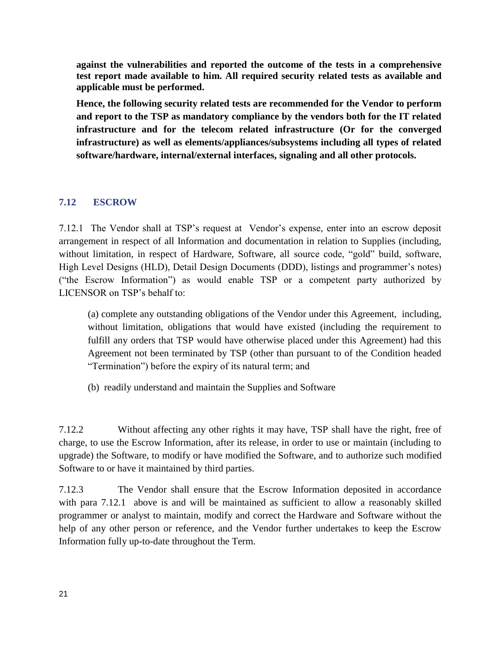**against the vulnerabilities and reported the outcome of the tests in a comprehensive test report made available to him. All required security related tests as available and applicable must be performed.**

**Hence, the following security related tests are recommended for the Vendor to perform and report to the TSP as mandatory compliance by the vendors both for the IT related infrastructure and for the telecom related infrastructure (Or for the converged infrastructure) as well as elements/appliances/subsystems including all types of related software/hardware, internal/external interfaces, signaling and all other protocols.**

# **7.12 ESCROW**

7.12.1 The Vendor shall at TSP's request at Vendor's expense, enter into an escrow deposit arrangement in respect of all Information and documentation in relation to Supplies (including, without limitation, in respect of Hardware, Software, all source code, "gold" build, software, High Level Designs (HLD), Detail Design Documents (DDD), listings and programmer's notes) ("the Escrow Information") as would enable TSP or a competent party authorized by LICENSOR on TSP's behalf to:

(a) complete any outstanding obligations of the Vendor under this Agreement, including, without limitation, obligations that would have existed (including the requirement to fulfill any orders that TSP would have otherwise placed under this Agreement) had this Agreement not been terminated by TSP (other than pursuant to of the Condition headed "Termination") before the expiry of its natural term; and

(b) readily understand and maintain the Supplies and Software

7.12.2 Without affecting any other rights it may have, TSP shall have the right, free of charge, to use the Escrow Information, after its release, in order to use or maintain (including to upgrade) the Software, to modify or have modified the Software, and to authorize such modified Software to or have it maintained by third parties.

7.12.3 The Vendor shall ensure that the Escrow Information deposited in accordance with para 7.12.1 above is and will be maintained as sufficient to allow a reasonably skilled programmer or analyst to maintain, modify and correct the Hardware and Software without the help of any other person or reference, and the Vendor further undertakes to keep the Escrow Information fully up-to-date throughout the Term.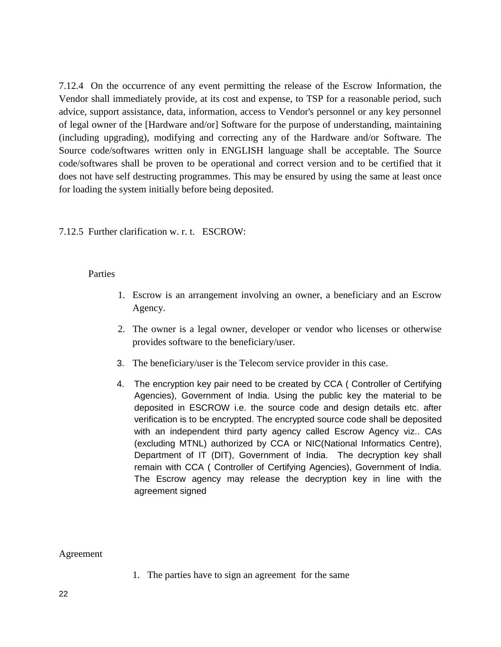7.12.4 On the occurrence of any event permitting the release of the Escrow Information, the Vendor shall immediately provide, at its cost and expense, to TSP for a reasonable period, such advice, support assistance, data, information, access to Vendor's personnel or any key personnel of legal owner of the [Hardware and/or] Software for the purpose of understanding, maintaining (including upgrading), modifying and correcting any of the Hardware and/or Software. The Source code/softwares written only in ENGLISH language shall be acceptable. The Source code/softwares shall be proven to be operational and correct version and to be certified that it does not have self destructing programmes. This may be ensured by using the same at least once for loading the system initially before being deposited.

#### 7.12.5 Further clarification w. r. t. ESCROW:

#### Parties

- 1. Escrow is an arrangement involving an owner, a beneficiary and an Escrow Agency.
- 2. The owner is a legal owner, developer or vendor who licenses or otherwise provides software to the beneficiary/user.
- 3. The beneficiary/user is the Telecom service provider in this case.
- 4. The encryption key pair need to be created by CCA ( Controller of Certifying Agencies), Government of India. Using the public key the material to be deposited in ESCROW i.e. the source code and design details etc. after verification is to be encrypted. The encrypted source code shall be deposited with an independent third party agency called Escrow Agency viz.. CAs (excluding MTNL) authorized by CCA or NIC(National Informatics Centre), Department of IT (DIT), Government of India. The decryption key shall remain with CCA ( Controller of Certifying Agencies), Government of India. The Escrow agency may release the decryption key in line with the agreement signed

Agreement

1. The parties have to sign an agreement for the same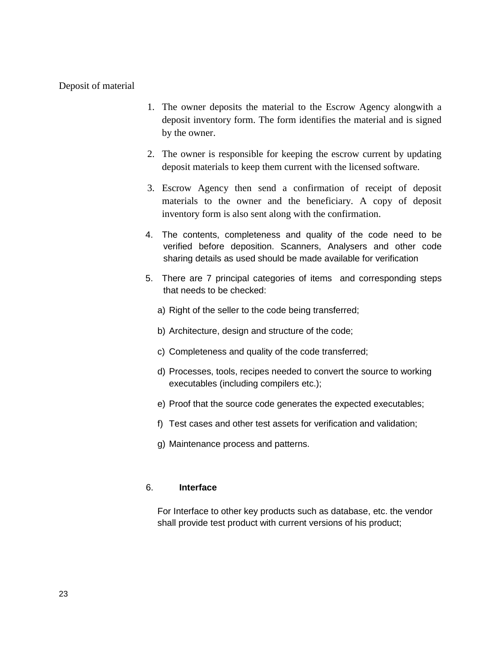#### Deposit of material

- 1. The owner deposits the material to the Escrow Agency alongwith a deposit inventory form. The form identifies the material and is signed by the owner.
- 2. The owner is responsible for keeping the escrow current by updating deposit materials to keep them current with the licensed software.
- 3. Escrow Agency then send a confirmation of receipt of deposit materials to the owner and the beneficiary. A copy of deposit inventory form is also sent along with the confirmation.
- 4. The contents, completeness and quality of the code need to be verified before deposition. Scanners, Analysers and other code sharing details as used should be made available for verification
- 5. There are 7 principal categories of items and corresponding steps that needs to be checked:
	- a) Right of the seller to the code being transferred;
	- b) Architecture, design and structure of the code;
	- c) Completeness and quality of the code transferred;
	- d) Processes, tools, recipes needed to convert the source to working executables (including compilers etc.);
	- e) Proof that the source code generates the expected executables;
	- f) Test cases and other test assets for verification and validation;
	- g) Maintenance process and patterns.

#### 6. **Interface**

For Interface to other key products such as database, etc. the vendor shall provide test product with current versions of his product;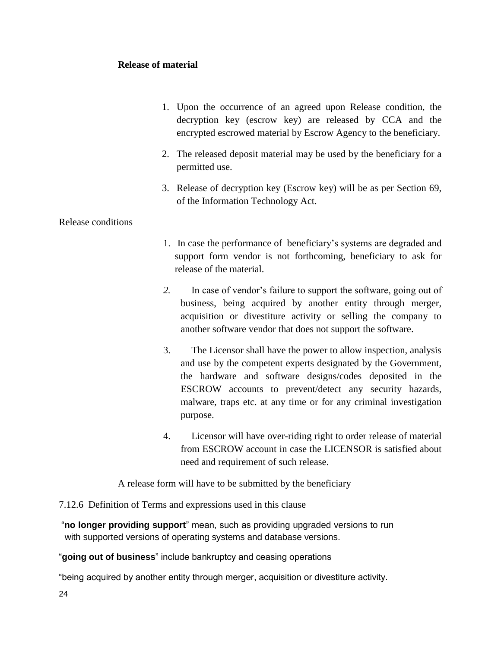## **Release of material**

- 1. Upon the occurrence of an agreed upon Release condition, the decryption key (escrow key) are released by CCA and the encrypted escrowed material by Escrow Agency to the beneficiary.
- 2. The released deposit material may be used by the beneficiary for a permitted use.
- 3. Release of decryption key (Escrow key) will be as per Section 69, of the Information Technology Act.

## Release conditions

- 1. In case the performance of beneficiary's systems are degraded and support form vendor is not forthcoming, beneficiary to ask for release of the material.
- *2.* In case of vendor's failure to support the software, going out of business, being acquired by another entity through merger, acquisition or divestiture activity or selling the company to another software vendor that does not support the software.
- 3. The Licensor shall have the power to allow inspection, analysis and use by the competent experts designated by the Government, the hardware and software designs/codes deposited in the ESCROW accounts to prevent/detect any security hazards, malware, traps etc. at any time or for any criminal investigation purpose.
- 4. Licensor will have over-riding right to order release of material from ESCROW account in case the LICENSOR is satisfied about need and requirement of such release.

A release form will have to be submitted by the beneficiary

7.12.6 Definition of Terms and expressions used in this clause

"**no longer providing support**" mean, such as providing upgraded versions to run with supported versions of operating systems and database versions.

"**going out of business**" include bankruptcy and ceasing operations

"being acquired by another entity through merger, acquisition or divestiture activity.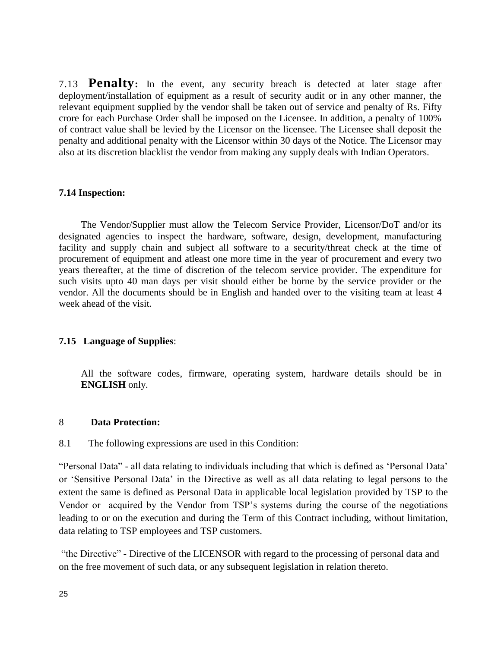7.13 **Penalty:** In the event, any security breach is detected at later stage after deployment/installation of equipment as a result of security audit or in any other manner, the relevant equipment supplied by the vendor shall be taken out of service and penalty of Rs. Fifty crore for each Purchase Order shall be imposed on the Licensee. In addition, a penalty of 100% of contract value shall be levied by the Licensor on the licensee. The Licensee shall deposit the penalty and additional penalty with the Licensor within 30 days of the Notice. The Licensor may also at its discretion blacklist the vendor from making any supply deals with Indian Operators.

#### **7.14 Inspection:**

The Vendor/Supplier must allow the Telecom Service Provider, Licensor/DoT and/or its designated agencies to inspect the hardware, software, design, development, manufacturing facility and supply chain and subject all software to a security/threat check at the time of procurement of equipment and atleast one more time in the year of procurement and every two years thereafter, at the time of discretion of the telecom service provider. The expenditure for such visits upto 40 man days per visit should either be borne by the service provider or the vendor. All the documents should be in English and handed over to the visiting team at least 4 week ahead of the visit.

#### **7.15 Language of Supplies**:

All the software codes, firmware, operating system, hardware details should be in **ENGLISH** only.

#### 8 **Data Protection:**

8.1 The following expressions are used in this Condition:

"Personal Data" - all data relating to individuals including that which is defined as 'Personal Data' or 'Sensitive Personal Data' in the Directive as well as all data relating to legal persons to the extent the same is defined as Personal Data in applicable local legislation provided by TSP to the Vendor or acquired by the Vendor from TSP's systems during the course of the negotiations leading to or on the execution and during the Term of this Contract including, without limitation, data relating to TSP employees and TSP customers.

"the Directive" - Directive of the LICENSOR with regard to the processing of personal data and on the free movement of such data, or any subsequent legislation in relation thereto.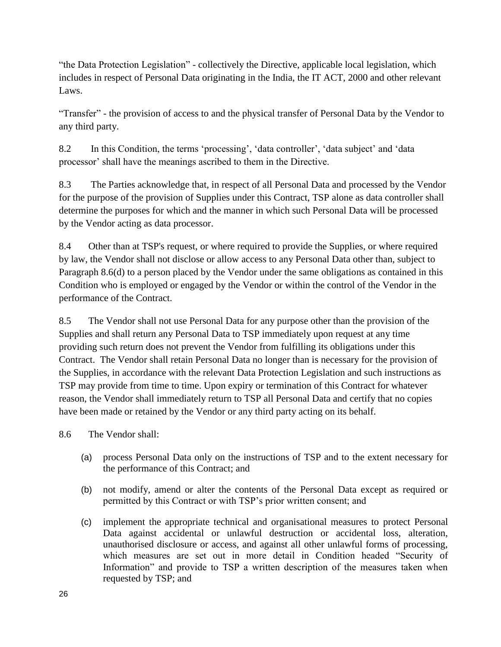"the Data Protection Legislation" - collectively the Directive, applicable local legislation, which includes in respect of Personal Data originating in the India, the IT ACT, 2000 and other relevant Laws.

"Transfer" - the provision of access to and the physical transfer of Personal Data by the Vendor to any third party.

8.2 In this Condition, the terms 'processing', 'data controller', 'data subject' and 'data processor' shall have the meanings ascribed to them in the Directive.

8.3 The Parties acknowledge that, in respect of all Personal Data and processed by the Vendor for the purpose of the provision of Supplies under this Contract, TSP alone as data controller shall determine the purposes for which and the manner in which such Personal Data will be processed by the Vendor acting as data processor.

8.4 Other than at TSP's request, or where required to provide the Supplies, or where required by law, the Vendor shall not disclose or allow access to any Personal Data other than, subject to Paragraph 8.6(d) to a person placed by the Vendor under the same obligations as contained in this Condition who is employed or engaged by the Vendor or within the control of the Vendor in the performance of the Contract.

8.5 The Vendor shall not use Personal Data for any purpose other than the provision of the Supplies and shall return any Personal Data to TSP immediately upon request at any time providing such return does not prevent the Vendor from fulfilling its obligations under this Contract. The Vendor shall retain Personal Data no longer than is necessary for the provision of the Supplies, in accordance with the relevant Data Protection Legislation and such instructions as TSP may provide from time to time. Upon expiry or termination of this Contract for whatever reason, the Vendor shall immediately return to TSP all Personal Data and certify that no copies have been made or retained by the Vendor or any third party acting on its behalf.

8.6 The Vendor shall:

- (a) process Personal Data only on the instructions of TSP and to the extent necessary for the performance of this Contract; and
- (b) not modify, amend or alter the contents of the Personal Data except as required or permitted by this Contract or with TSP's prior written consent; and
- (c) implement the appropriate technical and organisational measures to protect Personal Data against accidental or unlawful destruction or accidental loss, alteration, unauthorised disclosure or access, and against all other unlawful forms of processing, which measures are set out in more detail in Condition headed "Security of Information" and provide to TSP a written description of the measures taken when requested by TSP; and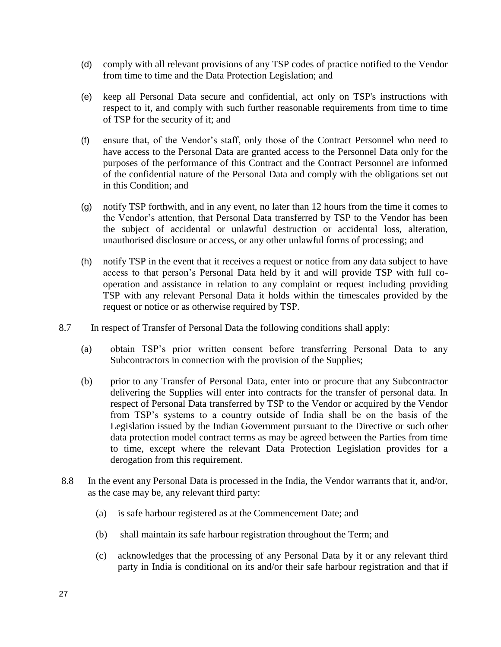- (d) comply with all relevant provisions of any TSP codes of practice notified to the Vendor from time to time and the Data Protection Legislation; and
- (e) keep all Personal Data secure and confidential, act only on TSP's instructions with respect to it, and comply with such further reasonable requirements from time to time of TSP for the security of it; and
- (f) ensure that, of the Vendor's staff, only those of the Contract Personnel who need to have access to the Personal Data are granted access to the Personnel Data only for the purposes of the performance of this Contract and the Contract Personnel are informed of the confidential nature of the Personal Data and comply with the obligations set out in this Condition; and
- (g) notify TSP forthwith, and in any event, no later than 12 hours from the time it comes to the Vendor's attention, that Personal Data transferred by TSP to the Vendor has been the subject of accidental or unlawful destruction or accidental loss, alteration, unauthorised disclosure or access, or any other unlawful forms of processing; and
- (h) notify TSP in the event that it receives a request or notice from any data subject to have access to that person's Personal Data held by it and will provide TSP with full cooperation and assistance in relation to any complaint or request including providing TSP with any relevant Personal Data it holds within the timescales provided by the request or notice or as otherwise required by TSP.
- 8.7 In respect of Transfer of Personal Data the following conditions shall apply:
	- (a) obtain TSP's prior written consent before transferring Personal Data to any Subcontractors in connection with the provision of the Supplies;
	- (b) prior to any Transfer of Personal Data, enter into or procure that any Subcontractor delivering the Supplies will enter into contracts for the transfer of personal data. In respect of Personal Data transferred by TSP to the Vendor or acquired by the Vendor from TSP's systems to a country outside of India shall be on the basis of the Legislation issued by the Indian Government pursuant to the Directive or such other data protection model contract terms as may be agreed between the Parties from time to time, except where the relevant Data Protection Legislation provides for a derogation from this requirement.
- 8.8 In the event any Personal Data is processed in the India, the Vendor warrants that it, and/or, as the case may be, any relevant third party:
	- (a) is safe harbour registered as at the Commencement Date; and
	- (b) shall maintain its safe harbour registration throughout the Term; and
	- (c) acknowledges that the processing of any Personal Data by it or any relevant third party in India is conditional on its and/or their safe harbour registration and that if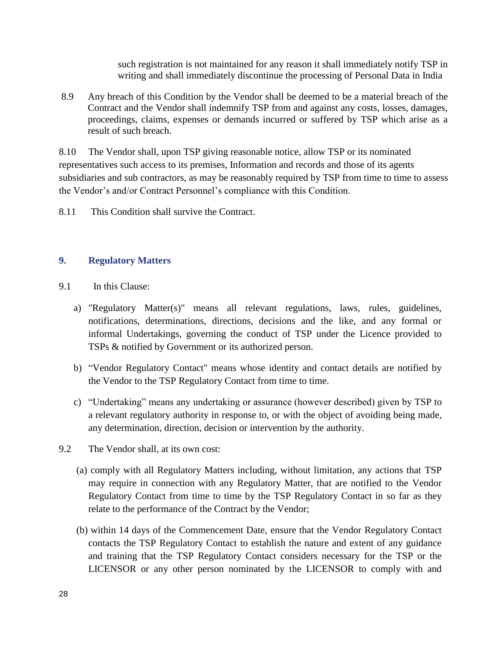such registration is not maintained for any reason it shall immediately notify TSP in writing and shall immediately discontinue the processing of Personal Data in India

8.9 Any breach of this Condition by the Vendor shall be deemed to be a material breach of the Contract and the Vendor shall indemnify TSP from and against any costs, losses, damages, proceedings, claims, expenses or demands incurred or suffered by TSP which arise as a result of such breach.

8.10 The Vendor shall, upon TSP giving reasonable notice, allow TSP or its nominated representatives such access to its premises, Information and records and those of its agents subsidiaries and sub contractors, as may be reasonably required by TSP from time to time to assess the Vendor's and/or Contract Personnel's compliance with this Condition.

8.11 This Condition shall survive the Contract.

## **9. Regulatory Matters**

- 9.1 In this Clause:
	- a) "Regulatory Matter(s)" means all relevant regulations, laws, rules, guidelines, notifications, determinations, directions, decisions and the like, and any formal or informal Undertakings, governing the conduct of TSP under the Licence provided to TSPs & notified by Government or its authorized person.
	- b) "Vendor Regulatory Contact" means whose identity and contact details are notified by the Vendor to the TSP Regulatory Contact from time to time.
	- c) "Undertaking" means any undertaking or assurance (however described) given by TSP to a relevant regulatory authority in response to, or with the object of avoiding being made, any determination, direction, decision or intervention by the authority.
- 9.2 The Vendor shall, at its own cost:
	- (a) comply with all Regulatory Matters including, without limitation, any actions that TSP may require in connection with any Regulatory Matter, that are notified to the Vendor Regulatory Contact from time to time by the TSP Regulatory Contact in so far as they relate to the performance of the Contract by the Vendor;
	- (b) within 14 days of the Commencement Date, ensure that the Vendor Regulatory Contact contacts the TSP Regulatory Contact to establish the nature and extent of any guidance and training that the TSP Regulatory Contact considers necessary for the TSP or the LICENSOR or any other person nominated by the LICENSOR to comply with and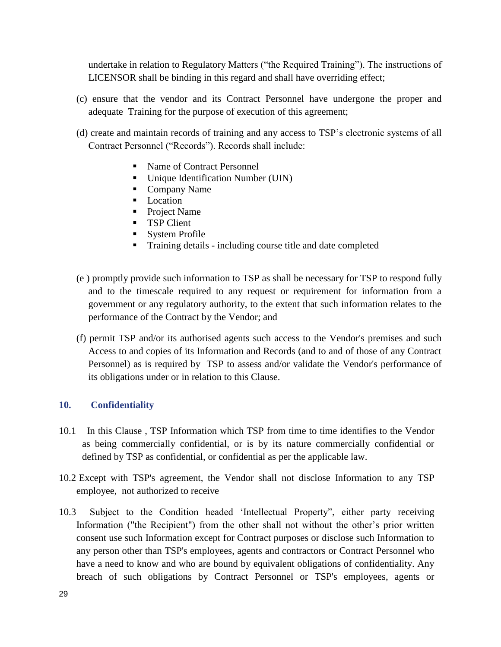undertake in relation to Regulatory Matters ("the Required Training"). The instructions of LICENSOR shall be binding in this regard and shall have overriding effect;

- (c) ensure that the vendor and its Contract Personnel have undergone the proper and adequate Training for the purpose of execution of this agreement;
- (d) create and maintain records of training and any access to TSP's electronic systems of all Contract Personnel ("Records"). Records shall include:
	- Name of Contract Personnel
	- Unique Identification Number (UIN)
	- Company Name
	- **Location**
	- **Project Name**
	- **TSP Client**
	- **System Profile**
	- **Training details including course title and date completed**
- (e ) promptly provide such information to TSP as shall be necessary for TSP to respond fully and to the timescale required to any request or requirement for information from a government or any regulatory authority, to the extent that such information relates to the performance of the Contract by the Vendor; and
- (f) permit TSP and/or its authorised agents such access to the Vendor's premises and such Access to and copies of its Information and Records (and to and of those of any Contract Personnel) as is required by TSP to assess and/or validate the Vendor's performance of its obligations under or in relation to this Clause.

#### **10. Confidentiality**

- 10.1 In this Clause , TSP Information which TSP from time to time identifies to the Vendor as being commercially confidential, or is by its nature commercially confidential or defined by TSP as confidential, or confidential as per the applicable law.
- 10.2 Except with TSP's agreement, the Vendor shall not disclose Information to any TSP employee, not authorized to receive
- 10.3 Subject to the Condition headed 'Intellectual Property", either party receiving Information ("the Recipient") from the other shall not without the other's prior written consent use such Information except for Contract purposes or disclose such Information to any person other than TSP's employees, agents and contractors or Contract Personnel who have a need to know and who are bound by equivalent obligations of confidentiality. Any breach of such obligations by Contract Personnel or TSP's employees, agents or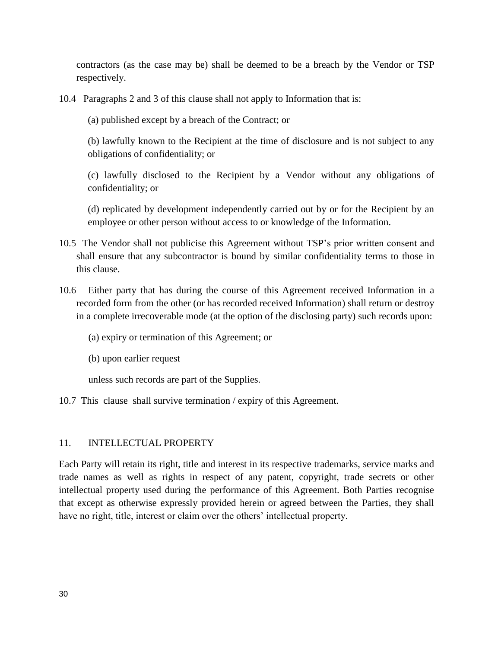contractors (as the case may be) shall be deemed to be a breach by the Vendor or TSP respectively.

10.4 Paragraphs 2 and 3 of this clause shall not apply to Information that is:

(a) published except by a breach of the Contract; or

(b) lawfully known to the Recipient at the time of disclosure and is not subject to any obligations of confidentiality; or

(c) lawfully disclosed to the Recipient by a Vendor without any obligations of confidentiality; or

(d) replicated by development independently carried out by or for the Recipient by an employee or other person without access to or knowledge of the Information.

- 10.5 The Vendor shall not publicise this Agreement without TSP's prior written consent and shall ensure that any subcontractor is bound by similar confidentiality terms to those in this clause.
- 10.6 Either party that has during the course of this Agreement received Information in a recorded form from the other (or has recorded received Information) shall return or destroy in a complete irrecoverable mode (at the option of the disclosing party) such records upon:
	- (a) expiry or termination of this Agreement; or
	- (b) upon earlier request

unless such records are part of the Supplies.

10.7 This clause shall survive termination / expiry of this Agreement.

#### 11. INTELLECTUAL PROPERTY

Each Party will retain its right, title and interest in its respective trademarks, service marks and trade names as well as rights in respect of any patent, copyright, trade secrets or other intellectual property used during the performance of this Agreement. Both Parties recognise that except as otherwise expressly provided herein or agreed between the Parties, they shall have no right, title, interest or claim over the others' intellectual property.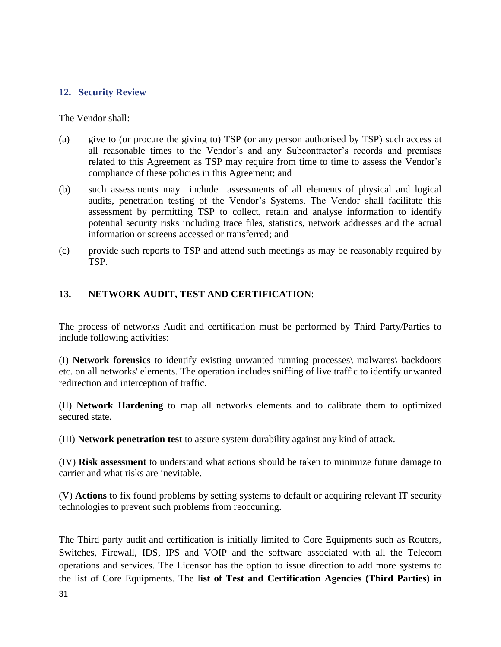## **12. Security Review**

The Vendor shall:

- (a) give to (or procure the giving to) TSP (or any person authorised by TSP) such access at all reasonable times to the Vendor's and any Subcontractor's records and premises related to this Agreement as TSP may require from time to time to assess the Vendor's compliance of these policies in this Agreement; and
- (b) such assessments may include assessments of all elements of physical and logical audits, penetration testing of the Vendor's Systems. The Vendor shall facilitate this assessment by permitting TSP to collect, retain and analyse information to identify potential security risks including trace files, statistics, network addresses and the actual information or screens accessed or transferred; and
- (c) provide such reports to TSP and attend such meetings as may be reasonably required by TSP.

## **13. NETWORK AUDIT, TEST AND CERTIFICATION**:

The process of networks Audit and certification must be performed by Third Party/Parties to include following activities:

(I) **Network forensics** to identify existing unwanted running processes\ malwares\ backdoors etc. on all networks' elements. The operation includes sniffing of live traffic to identify unwanted redirection and interception of traffic.

(II) **Network Hardening** to map all networks elements and to calibrate them to optimized secured state.

(III) **Network penetration test** to assure system durability against any kind of attack.

(IV) **Risk assessment** to understand what actions should be taken to minimize future damage to carrier and what risks are inevitable.

(V) **Actions** to fix found problems by setting systems to default or acquiring relevant IT security technologies to prevent such problems from reoccurring.

The Third party audit and certification is initially limited to Core Equipments such as Routers, Switches, Firewall, IDS, IPS and VOIP and the software associated with all the Telecom operations and services. The Licensor has the option to issue direction to add more systems to the list of Core Equipments. The l**ist of Test and Certification Agencies (Third Parties) in**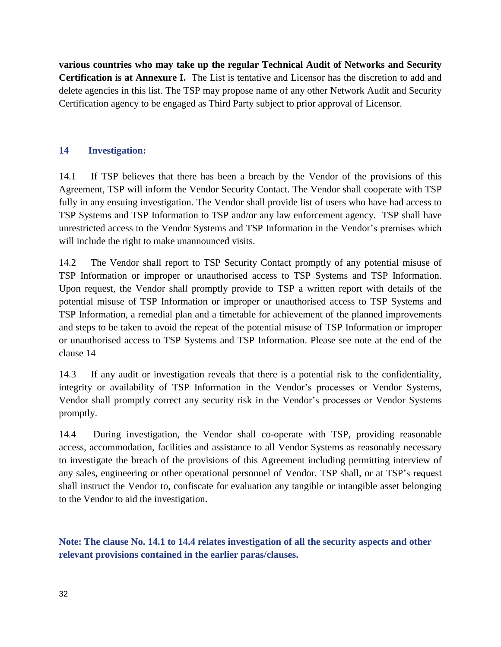**various countries who may take up the regular Technical Audit of Networks and Security Certification is at Annexure I.** The List is tentative and Licensor has the discretion to add and delete agencies in this list. The TSP may propose name of any other Network Audit and Security Certification agency to be engaged as Third Party subject to prior approval of Licensor.

# **14 Investigation:**

14.1 If TSP believes that there has been a breach by the Vendor of the provisions of this Agreement, TSP will inform the Vendor Security Contact. The Vendor shall cooperate with TSP fully in any ensuing investigation. The Vendor shall provide list of users who have had access to TSP Systems and TSP Information to TSP and/or any law enforcement agency. TSP shall have unrestricted access to the Vendor Systems and TSP Information in the Vendor's premises which will include the right to make unannounced visits.

14.2 The Vendor shall report to TSP Security Contact promptly of any potential misuse of TSP Information or improper or unauthorised access to TSP Systems and TSP Information. Upon request, the Vendor shall promptly provide to TSP a written report with details of the potential misuse of TSP Information or improper or unauthorised access to TSP Systems and TSP Information, a remedial plan and a timetable for achievement of the planned improvements and steps to be taken to avoid the repeat of the potential misuse of TSP Information or improper or unauthorised access to TSP Systems and TSP Information. Please see note at the end of the clause 14

14.3 If any audit or investigation reveals that there is a potential risk to the confidentiality, integrity or availability of TSP Information in the Vendor's processes or Vendor Systems, Vendor shall promptly correct any security risk in the Vendor's processes or Vendor Systems promptly.

14.4 During investigation, the Vendor shall co-operate with TSP, providing reasonable access, accommodation, facilities and assistance to all Vendor Systems as reasonably necessary to investigate the breach of the provisions of this Agreement including permitting interview of any sales, engineering or other operational personnel of Vendor. TSP shall, or at TSP's request shall instruct the Vendor to, confiscate for evaluation any tangible or intangible asset belonging to the Vendor to aid the investigation.

**Note: The clause No. 14.1 to 14.4 relates investigation of all the security aspects and other relevant provisions contained in the earlier paras/clauses.**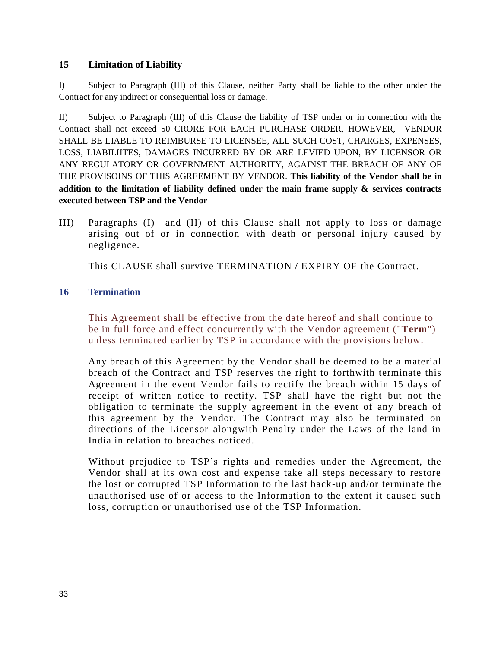## **15 Limitation of Liability**

I) Subject to Paragraph (III) of this Clause, neither Party shall be liable to the other under the Contract for any indirect or consequential loss or damage.

II) Subject to Paragraph (III) of this Clause the liability of TSP under or in connection with the Contract shall not exceed 50 CRORE FOR EACH PURCHASE ORDER, HOWEVER, VENDOR SHALL BE LIABLE TO REIMBURSE TO LICENSEE, ALL SUCH COST, CHARGES, EXPENSES, LOSS, LIABILIITES, DAMAGES INCURRED BY OR ARE LEVIED UPON, BY LICENSOR OR ANY REGULATORY OR GOVERNMENT AUTHORITY, AGAINST THE BREACH OF ANY OF THE PROVISOINS OF THIS AGREEMENT BY VENDOR. **This liability of the Vendor shall be in addition to the limitation of liability defined under the main frame supply & services contracts executed between TSP and the Vendor**

III) Paragraphs (I) and (II) of this Clause shall not apply to loss or damage arising out of or in connection with death or personal injury caused by negligence.

This CLAUSE shall survive TERMINATION / EXPIRY OF the Contract.

## **16 Termination**

This Agreement shall be effective from the date hereof and shall continue to be in full force and effect concurrently with the Vendor agreement ("**Term**") unless terminated earlier by TSP in accordance with the provisions below.

Any breach of this Agreement by the Vendor shall be deemed to be a material breach of the Contract and TSP reserves the right to forthwith terminate this Agreement in the event Vendor fails to rectify the breach within 15 days of receipt of written notice to rectify. TSP shall have the right but not the obligation to terminate the supply agreement in the event of any breach of this agreement by the Vendor. The Contract may also be terminated on directions of the Licensor alongwith Penalty under the Laws of the land in India in relation to breaches noticed.

Without prejudice to TSP's rights and remedies under the Agreement, the Vendor shall at its own cost and expense take all steps necessary to restore the lost or corrupted TSP Information to the last back-up and/or terminate the unauthorised use of or access to the Information to the extent it caused such loss, corruption or unauthorised use of the TSP Information.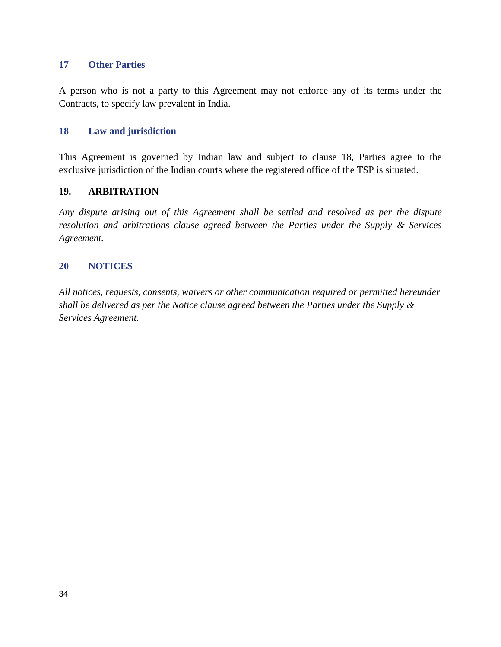## **17 Other Parties**

A person who is not a party to this Agreement may not enforce any of its terms under the Contracts, to specify law prevalent in India.

#### **18 Law and jurisdiction**

This Agreement is governed by Indian law and subject to clause 18, Parties agree to the exclusive jurisdiction of the Indian courts where the registered office of the TSP is situated.

#### **19. ARBITRATION**

*Any dispute arising out of this Agreement shall be settled and resolved as per the dispute resolution and arbitrations clause agreed between the Parties under the Supply & Services Agreement.* 

## **20 NOTICES**

*All notices, requests, consents, waivers or other communication required or permitted hereunder shall be delivered as per the Notice clause agreed between the Parties under the Supply & Services Agreement.*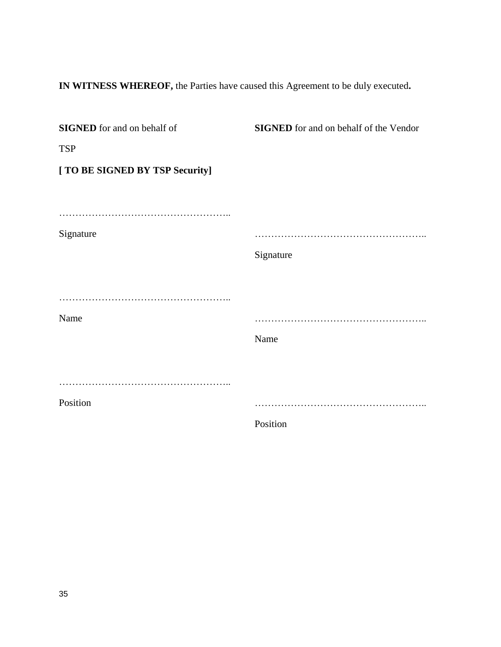**IN WITNESS WHEREOF,** the Parties have caused this Agreement to be duly executed**.**

| <b>SIGNED</b> for and on behalf of | <b>SIGNED</b> for and on behalf of the Vendor |
|------------------------------------|-----------------------------------------------|
| <b>TSP</b>                         |                                               |
| [ TO BE SIGNED BY TSP Security]    |                                               |
|                                    |                                               |
|                                    |                                               |
| Signature                          |                                               |
|                                    | Signature                                     |
|                                    |                                               |
|                                    |                                               |
| Name                               |                                               |
|                                    | Name                                          |
|                                    |                                               |
|                                    |                                               |
| Position                           |                                               |
|                                    | Position                                      |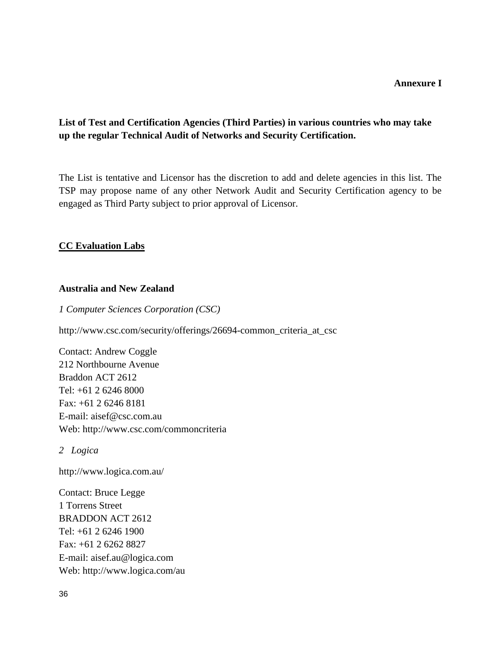# **List of Test and Certification Agencies (Third Parties) in various countries who may take up the regular Technical Audit of Networks and Security Certification.**

The List is tentative and Licensor has the discretion to add and delete agencies in this list. The TSP may propose name of any other Network Audit and Security Certification agency to be engaged as Third Party subject to prior approval of Licensor.

## **CC Evaluation Labs**

#### **Australia and New Zealand**

*1 Computer Sciences Corporation (CSC)*

[http://www.csc.com/security/offerings/26694-common\\_criteria\\_at\\_csc](http://www.csc.com/security/offerings/26694-common_criteria_at_csc)

Contact: Andrew Coggle 212 Northbourne Avenue Braddon ACT 2612 Tel: +61 2 6246 8000 Fax: +61 2 6246 8181 E-mail: [aisef@csc.com.au](mailto:aisef@csc.com.au) Web:<http://www.csc.com/commoncriteria>

*2 Logica*

<http://www.logica.com.au/>

Contact: Bruce Legge 1 Torrens Street BRADDON ACT 2612 Tel: +61 2 6246 1900 Fax: +61 2 6262 8827 E-mail: [aisef.au@logica.com](mailto:aisef.au@logica.com) Web:<http://www.logica.com/au>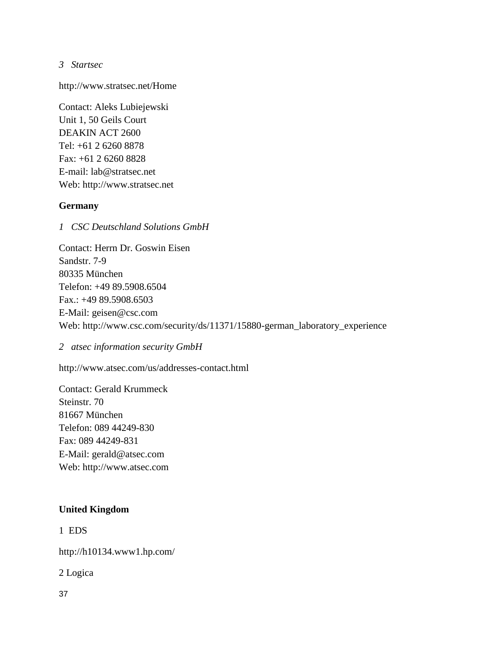*3 Startsec*

<http://www.stratsec.net/Home>

Contact: Aleks Lubiejewski Unit 1, 50 Geils Court DEAKIN ACT 2600 Tel: +61 2 6260 8878 Fax: +61 2 6260 8828 E-mail: [lab@stratsec.net](mailto:lab@stratsec.net) Web: [http://www.stratsec.net](http://www.stratsec.net/)

## **Germany**

*1 CSC Deutschland Solutions GmbH*

Contact: Herrn Dr. Goswin Eisen Sandstr. 7-9 80335 München Telefon: +49 89.5908.6504 Fax.: +49 89.5908.6503 E-Mail: [geisen@csc.com](mailto:geisen@csc.com) Web: [http://www.csc.com/security/ds/11371/15880-german\\_laboratory\\_experience](http://www.csc.com/security/ds/11371/15880-german_laboratory_experience)

*2 atsec information security GmbH*

<http://www.atsec.com/us/addresses-contact.html>

Contact: Gerald Krummeck Steinstr. 70 81667 München Telefon: 089 44249-830 Fax: 089 44249-831 E-Mail: [gerald@atsec.com](mailto:gerald@atsec.com) Web: [http://www.atsec.com](http://www.atsec.com/)

## **United Kingdom**

1 EDS

<http://h10134.www1.hp.com/>

2 Logica

37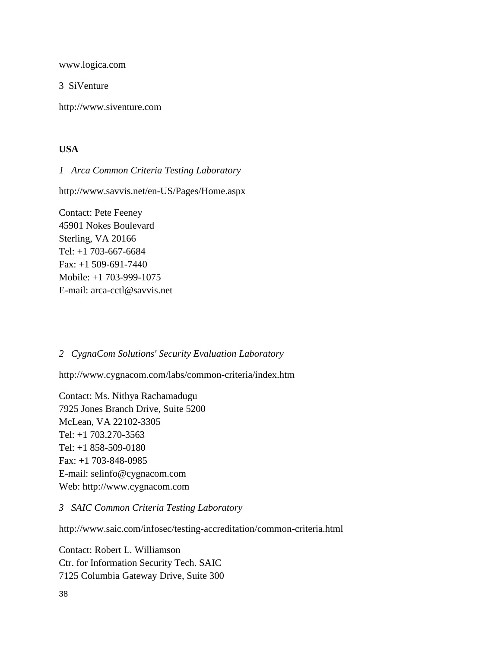[www.logica.com](http://www.logica.com/)

3 SiVenture

[http://www.siventure.com](http://www.siventure.com/)

## **USA**

*1 Arca Common Criteria Testing Laboratory*

<http://www.savvis.net/en-US/Pages/Home.aspx>

Contact: Pete Feeney 45901 Nokes Boulevard Sterling, VA 20166 Tel: +1 703-667-6684 Fax: +1 509-691-7440 Mobile: +1 703-999-1075 E-mail: [arca-cctl@savvis.net](mailto:arca-cctl@savvis.net)

## *2 CygnaCom Solutions' Security Evaluation Laboratory*

<http://www.cygnacom.com/labs/common-criteria/index.htm>

Contact: Ms. Nithya Rachamadugu 7925 Jones Branch Drive, Suite 5200 McLean, VA 22102-3305 Tel: +1 703.270-3563 Tel: +1 858-509-0180 Fax: +1 703-848-0985 E-mail: [selinfo@cygnacom.com](mailto:selinfo@cygnacom.com) Web: [http://www.cygnacom.com](http://www.cygnacom.com/)

## *3 SAIC Common Criteria Testing Laboratory*

<http://www.saic.com/infosec/testing-accreditation/common-criteria.html>

Contact: Robert L. Williamson Ctr. for Information Security Tech. SAIC 7125 Columbia Gateway Drive, Suite 300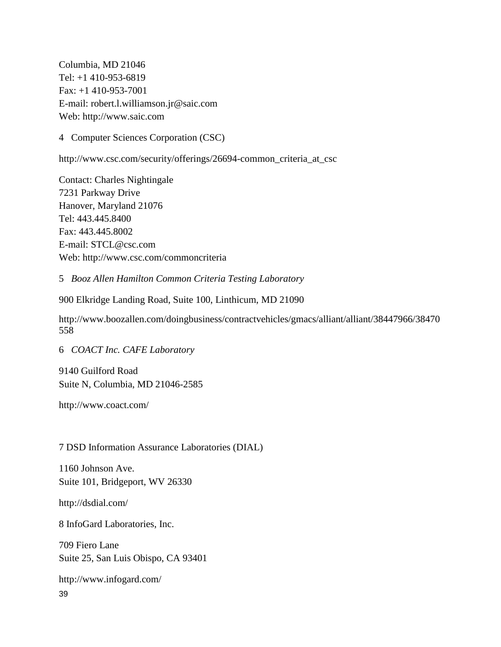Columbia, MD 21046 Tel: +1 410-953-6819 Fax: +1 410-953-7001 E-mail: [robert.l.williamson.jr@saic.com](mailto:robert.l.williamson.jr@saic.com) Web: [http://www.saic.com](http://www.saic.com/)

4 Computer Sciences Corporation (CSC)

[http://www.csc.com/security/offerings/26694-common\\_criteria\\_at\\_csc](http://www.csc.com/security/offerings/26694-common_criteria_at_csc)

Contact: Charles Nightingale 7231 Parkway Drive Hanover, Maryland 21076 Tel: 443.445.8400 Fax: 443.445.8002 E-mail: [STCL@csc.com](mailto:STCL@csc.com) Web:<http://www.csc.com/commoncriteria>

5 *Booz Allen Hamilton Common Criteria Testing Laboratory*

900 Elkridge Landing Road, Suite 100, Linthicum, MD 21090

[http://www.boozallen.com/doingbusiness/contractvehicles/gmacs/alliant/alliant/38447966/38470](http://www.boozallen.com/doingbusiness/contractvehicles/gmacs/alliant/alliant/38447966/38470558) [558](http://www.boozallen.com/doingbusiness/contractvehicles/gmacs/alliant/alliant/38447966/38470558)

6 *COACT Inc. CAFE Laboratory*

9140 Guilford Road Suite N, Columbia, MD 21046-2585

<http://www.coact.com/>

7 DSD Information Assurance Laboratories (DIAL)

1160 Johnson Ave. Suite 101, Bridgeport, WV 26330

<http://dsdial.com/>

8 InfoGard Laboratories, Inc.

709 Fiero Lane Suite 25, San Luis Obispo, CA 93401

<http://www.infogard.com/>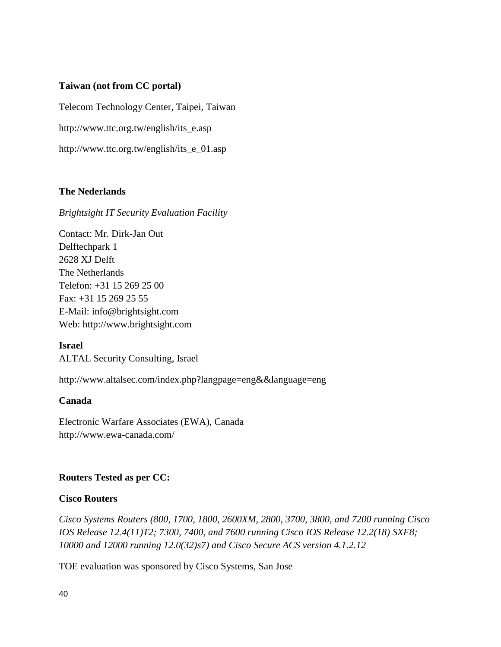#### **Taiwan (not from CC portal)**

Telecom Technology Center, Taipei, Taiwan

[http://www.ttc.org.tw/english/its\\_e.asp](http://www.ttc.org.tw/english/its_e.asp) 

[http://www.ttc.org.tw/english/its\\_e\\_01.asp](http://www.ttc.org.tw/english/its_e_01.asp)

## **The Nederlands**

#### *Brightsight IT Security Evaluation Facility*

Contact: Mr. Dirk-Jan Out Delftechpark 1 2628 XJ Delft The Netherlands Telefon: +31 15 269 25 00 Fax: +31 15 269 25 55 E-Mail: [info@brightsight.com](mailto:info@brightsight.com) Web: [http://www.brightsight.com](http://www.brightsight.com/)

**Israel** ALTAL Security Consulting, Israel

<http://www.altalsec.com/index.php?langpage=eng&&language=eng>

#### **Canada**

Electronic Warfare Associates (EWA), Canada <http://www.ewa-canada.com/>

#### **Routers Tested as per CC:**

#### **Cisco Routers**

*Cisco Systems Routers (800, 1700, 1800, 2600XM, 2800, 3700, 3800, and 7200 running Cisco IOS Release 12.4(11)T2; 7300, 7400, and 7600 running Cisco IOS Release 12.2(18) SXF8; 10000 and 12000 running 12.0(32)s7) and Cisco Secure ACS version 4.1.2.12*

TOE evaluation was sponsored by Cisco Systems, San Jose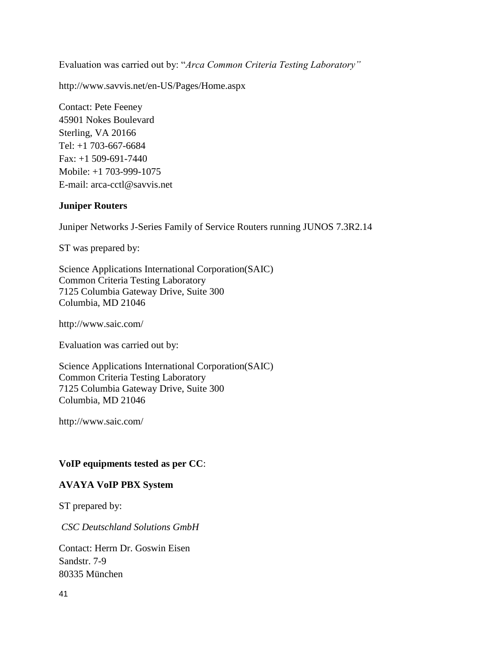Evaluation was carried out by: "*Arca Common Criteria Testing Laboratory"*

<http://www.savvis.net/en-US/Pages/Home.aspx>

Contact: Pete Feeney 45901 Nokes Boulevard Sterling, VA 20166 Tel: +1 703-667-6684 Fax: +1 509-691-7440 Mobile: +1 703-999-1075 E-mail: [arca-cctl@savvis.net](mailto:arca-cctl@savvis.net)

# **Juniper Routers**

Juniper Networks J-Series Family of Service Routers running JUNOS 7.3R2.14

ST was prepared by:

Science Applications International Corporation(SAIC) Common Criteria Testing Laboratory 7125 Columbia Gateway Drive, Suite 300 Columbia, MD 21046

<http://www.saic.com/>

Evaluation was carried out by:

Science Applications International Corporation(SAIC) Common Criteria Testing Laboratory 7125 Columbia Gateway Drive, Suite 300 Columbia, MD 21046

<http://www.saic.com/>

## **VoIP equipments tested as per CC**:

## **AVAYA VoIP PBX System**

ST prepared by:

*CSC Deutschland Solutions GmbH*

Contact: Herrn Dr. Goswin Eisen Sandstr. 7-9 80335 München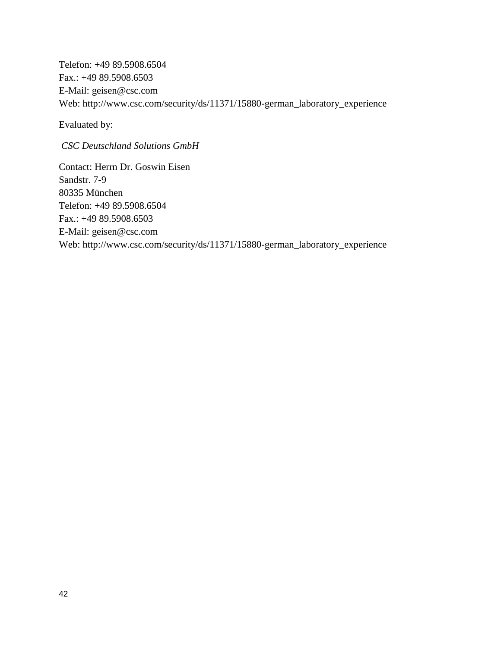Telefon: +49 89.5908.6504 Fax.: +49 89.5908.6503 E-Mail: [geisen@csc.com](mailto:geisen@csc.com) Web: [http://www.csc.com/security/ds/11371/15880-german\\_laboratory\\_experience](http://www.csc.com/security/ds/11371/15880-german_laboratory_experience)

Evaluated by:

*CSC Deutschland Solutions GmbH*

Contact: Herrn Dr. Goswin Eisen Sandstr. 7-9 80335 München Telefon: +49 89.5908.6504 Fax.: +49 89.5908.6503 E-Mail: [geisen@csc.com](mailto:geisen@csc.com) Web: [http://www.csc.com/security/ds/11371/15880-german\\_laboratory\\_experience](http://www.csc.com/security/ds/11371/15880-german_laboratory_experience)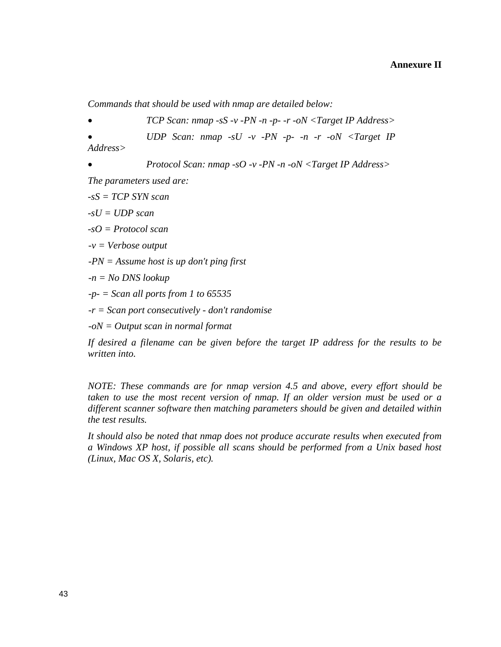*Commands that should be used with nmap are detailed below:*

*TCP Scan: nmap -sS -v -PN -n -p- -r -oN <Target IP Address>*

 *UDP Scan: nmap -sU -v -PN -p- -n -r -oN <Target IP Address>*

 *Protocol Scan: nmap -sO -v -PN -n -oN <Target IP Address> The parameters used are:*

*-sS = TCP SYN scan* 

*-sU = UDP scan*

*-sO = Protocol scan*

*-v = Verbose output* 

*-PN = Assume host is up don't ping first* 

*-n = No DNS lookup* 

*-p- = Scan all ports from 1 to 65535* 

*-r = Scan port consecutively - don't randomise* 

*-oN = Output scan in normal format*

*If desired a filename can be given before the target IP address for the results to be written into.*

*NOTE: These commands are for nmap version 4.5 and above, every effort should be taken to use the most recent version of nmap. If an older version must be used or a different scanner software then matching parameters should be given and detailed within the test results.* 

*It should also be noted that nmap does not produce accurate results when executed from a Windows XP host, if possible all scans should be performed from a Unix based host (Linux, Mac OS X, Solaris, etc).*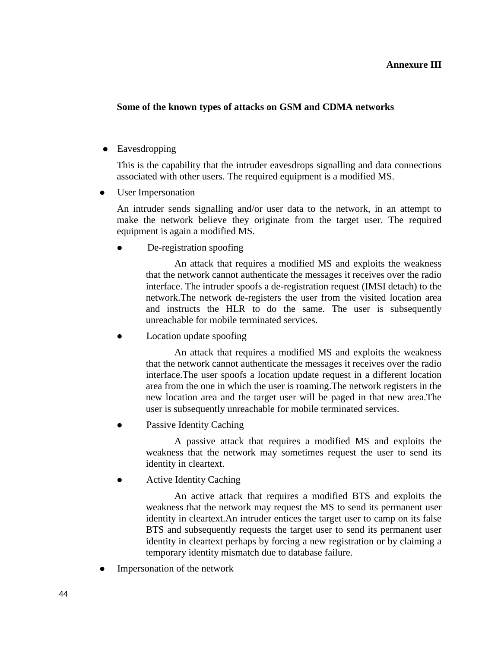#### **Annexure III**

#### **Some of the known types of attacks on GSM and CDMA networks**

• Eavesdropping

This is the capability that the intruder eavesdrops signalling and data connections associated with other users. The required equipment is a modified MS.

• User Impersonation

An intruder sends signalling and/or user data to the network, in an attempt to make the network believe they originate from the target user. The required equipment is again a modified MS.

De-registration spoofing

An attack that requires a modified MS and exploits the weakness that the network cannot authenticate the messages it receives over the radio interface. The intruder spoofs a de-registration request (IMSI detach) to the network.The network de-registers the user from the visited location area and instructs the HLR to do the same. The user is subsequently unreachable for mobile terminated services.

Location update spoofing

An attack that requires a modified MS and exploits the weakness that the network cannot authenticate the messages it receives over the radio interface.The user spoofs a location update request in a different location area from the one in which the user is roaming.The network registers in the new location area and the target user will be paged in that new area.The user is subsequently unreachable for mobile terminated services.

Passive Identity Caching

A passive attack that requires a modified MS and exploits the weakness that the network may sometimes request the user to send its identity in cleartext.

Active Identity Caching

An active attack that requires a modified BTS and exploits the weakness that the network may request the MS to send its permanent user identity in cleartext.An intruder entices the target user to camp on its false BTS and subsequently requests the target user to send its permanent user identity in cleartext perhaps by forcing a new registration or by claiming a temporary identity mismatch due to database failure.

Impersonation of the network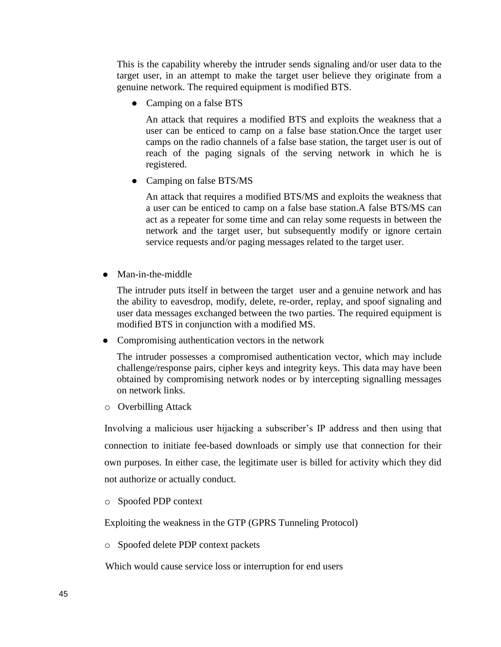This is the capability whereby the intruder sends signaling and/or user data to the target user, in an attempt to make the target user believe they originate from a genuine network. The required equipment is modified BTS.

• Camping on a false BTS

An attack that requires a modified BTS and exploits the weakness that a user can be enticed to camp on a false base station.Once the target user camps on the radio channels of a false base station, the target user is out of reach of the paging signals of the serving network in which he is registered.

• Camping on false BTS/MS

An attack that requires a modified BTS/MS and exploits the weakness that a user can be enticed to camp on a false base station.A false BTS/MS can act as a repeater for some time and can relay some requests in between the network and the target user, but subsequently modify or ignore certain service requests and/or paging messages related to the target user.

• Man-in-the-middle

The intruder puts itself in between the target user and a genuine network and has the ability to eavesdrop, modify, delete, re-order, replay, and spoof signaling and user data messages exchanged between the two parties. The required equipment is modified BTS in conjunction with a modified MS.

• Compromising authentication vectors in the network

The intruder possesses a compromised authentication vector, which may include challenge/response pairs, cipher keys and integrity keys. This data may have been obtained by compromising network nodes or by intercepting signalling messages on network links.

o Overbilling Attack

Involving a malicious user hijacking a subscriber's IP address and then using that connection to initiate fee-based downloads or simply use that connection for their own purposes. In either case, the legitimate user is billed for activity which they did not authorize or actually conduct.

o Spoofed PDP context

Exploiting the weakness in the GTP (GPRS Tunneling Protocol)

o Spoofed delete PDP context packets

Which would cause service loss or interruption for end users